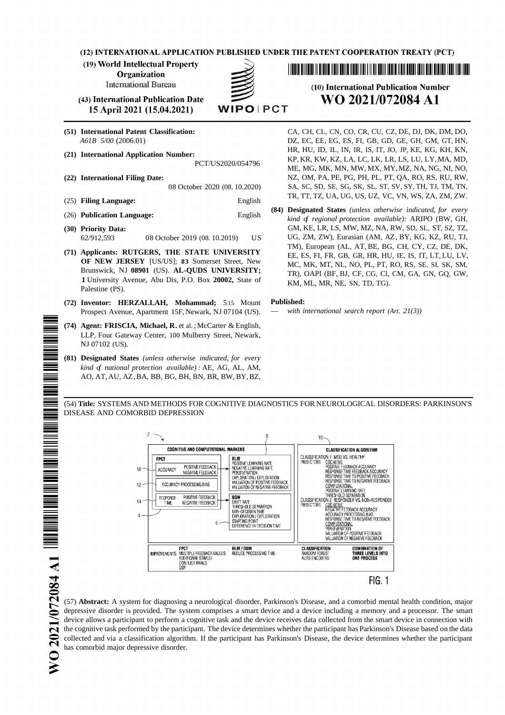(12) INTERNATIONAL APPLICATION PUBLISHED UNDER THE PATENT COOPERATION TREATY (PCT)

(19) World Intellectual Property

**Organization** 

**International Bureau** 

(43) International Publication Date 15 April 2021 (15.04.2021)

- 
- 

- 
- (25) **Filing Language:** English
- 
- 
- **1** University Avenue, Abu Dis, P.O. Box **20002**, State of KM, ML, MR, NE, SN, TD, TG). Palestine (PS).
- **(72) Inventor: HERZALLAH, Mohammad;** 515 Mount **Published:** Prospect Avenue, Apartment 15F, Newark, NJ 07104 (US).
- **(74) Agent: FRISCIA, Michael, R.** et al. ; McCarter & English, LLP, Four Gateway Center, 100 Mulberry Street, Newark, NJ 07102 (US).
- **(81) Designated States** *(unless otherwise indicated, for every kind of national protection available) :* AE, AG, AL, AM, AO, AT, AU, AZ,BA, BB, BG, BH, BN, BR, BW, BY,BZ,

# (10) International Publication Number WO 2021/072084 A1

**(51) International Patent Classification:** CA, CH, CL, CN, CO, CR, CU, CZ, DE, DJ, DK, DM, DO, *A61B 5/00* (2006.01) DZ, EC, EE, EG, ES, FI, GB, GD, GE, GH, GM, GT, HN, (21) International Application Number:<br>PCT/US2020/054796 HR, HU, ID, IL, IN, IR, IS, IT, JO, JP, KE, KG, KH, KN,<br>PCT/US2020/054796 ME, MG, MK, MN, MW, MX, MY, MZ, NA, NG, NI, NO, **(22) International Filing Date:** NZ, OM, PA, PE, PG, PH, PL, PT, QA, RO, RS, RU, RW, 08 October 2020 (08. 10.2020) SA, SC, SD, SE, SG, SK, SL, ST, SV, SY, TH, TJ, TM, TN, TR, TT, TZ, UA, UG, US, UZ, VC, VN, WS, ZA, ZM, ZW.

**(84) Designated States** *(unless otherwise indicated, for every* (26) **Publication Language:** English *kind of regional protection available):* ARIPO (BW, GH, **(30) Priority Data:** GM, KE, LR, LS, MW, MZ, NA, RW, SD, SL, ST, SZ, TZ, 62/912,593 08 October 2019 (08. 10.2019) US UG, ZM, ZW), Eurasian (AM, AZ, BY, KG, KZ, RU, TJ, TM), European (AL, AT, BE, BG, CH, CY, CZ, DE, DK, **(71) Applicants: RUTGERS, THE STATE UNIVERSITY** EE, ES, FI, FR, GB, GR, HR, HU, IE, IS, IT, LT, LU, LV, **OF** NEW JERSEY [US/US]; **83** Somerset Street, New MC, MK, MT, NL, NO, PL, PT, RO, RS, SE, SI, SK, SM, Brunswick, NJ 08901 (US). AL-QUDS UNIVERSITY; TP) OARLIER RT CE CE CL CM GA GN GO GW. TR), OAPI (BF, BJ, CF, CG, Cl, CM, GA, GN, GQ, GW,

(54) **Title:** SYSTEMS AND METHODS FOR COGNITIVE DIAGNOSTICS FOR NEUROLOGICAL DISORDERS: PARKINSON'S DISEASE AND COMORBID DEPRESSION



(57) **Abstract:** A system for diagnosing a neurological disorder, Parkinson's Disease, and a comorbid mental health condition, major depressive disorder is provided. The system comprises a smart device and a device including a memory and a processor. The smart device allows a participant to perform a cognitive task and the device receives data collected from the smart device in connection with the cognitive task performed by the participant. The device determines whether the participant has Parkinson's Disease based on the data collected and via a classification algorithm. If the participant has Parkinson's Disease, the device determines whether the participant has comorbid major depressive disorder.

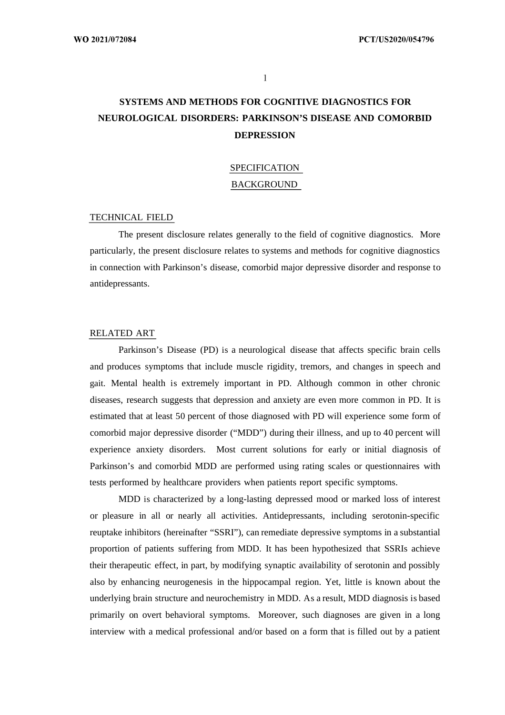$\mathbf{1}$ 

# **SYSTEMS AND METHODS FOR COGNITIVE DIAGNOSTICS FOR NEUROLOGICAL DISORDERS: PARKINSON'S DISEASE AND COMORBID DEPRESSION**

# SPECIFICATION BACKGROUND

#### TECHNICAL FIELD

The present disclosure relates generally to the field of cognitive diagnostics. More particularly, the present disclosure relates to systems and methods for cognitive diagnostics in connection with Parkinson's disease, comorbid major depressive disorder and response to antidepressants.

#### RELATED ART

Parkinson's Disease (PD) is a neurological disease that affects specific brain cells and produces symptoms that include muscle rigidity, tremors, and changes in speech and gait. Mental health is extremely important in PD. Although common in other chronic diseases, research suggests that depression and anxiety are even more common in PD. It is estimated that at least 50 percent of those diagnosed with PD will experience some form of comorbid major depressive disorder ("MDD") during their illness, and up to 40 percent will experience anxiety disorders. Most current solutions for early or initial diagnosis of Parkinson's and comorbid MDD are performed using rating scales or questionnaires with tests performed by healthcare providers when patients report specific symptoms.

MDD is characterized by a long-lasting depressed mood or marked loss of interest or pleasure in all or nearly all activities. Antidepressants, including serotonin-specific reuptake inhibitors (hereinafter "SSRI"), can remediate depressive symptoms in a substantial proportion of patients suffering from MDD. It has been hypothesized that SSRIs achieve their therapeutic effect, in part, by modifying synaptic availability of serotonin and possibly also by enhancing neurogenesis in the hippocampal region. Yet, little is known about the underlying brain structure and neurochemistry in MDD. As a result, MDD diagnosis is based primarily on overt behavioral symptoms. Moreover, such diagnoses are given in a long interview with a medical professional and/or based on a form that is filled out by a patient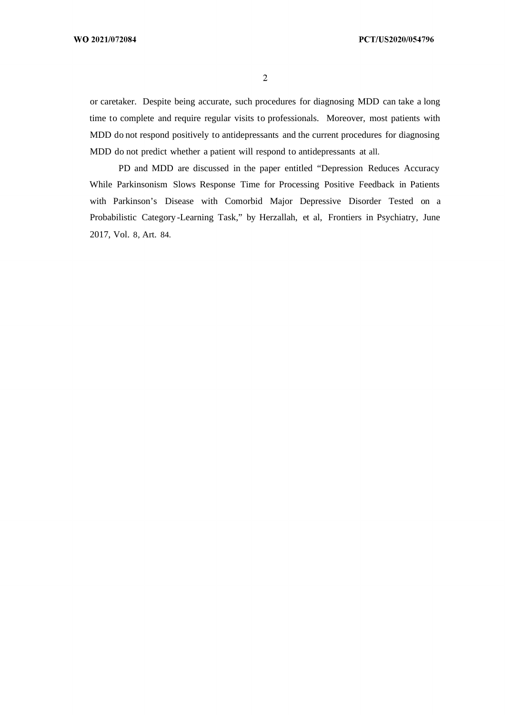$\overline{2}$ 

or caretaker. Despite being accurate, such procedures for diagnosing MDD can take a long time to complete and require regular visits to professionals. Moreover, most patients with MDD do not respond positively to antidepressants and the current procedures for diagnosing MDD do not predict whether a patient will respond to antidepressants at all.

PD and MDD are discussed in the paper entitled "Depression Reduces Accuracy While Parkinsonism Slows Response Time for Processing Positive Feedback in Patients with Parkinson's Disease with Comorbid Major Depressive Disorder Tested on a Probabilistic Category -Learning Task," by Herzallah, et al, Frontiers in Psychiatry, June 2017, Vol. 8, Art. 84.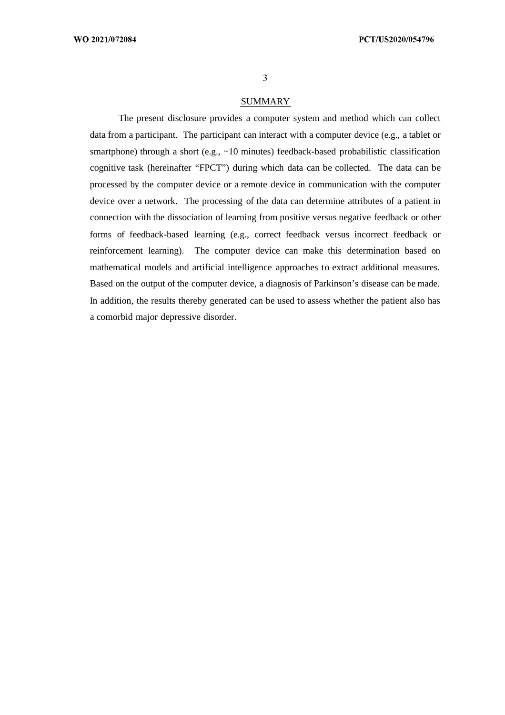$\overline{3}$ 

### SUMMARY

The present disclosure provides a computer system and method which can collect data from a participant. The participant can interact with a computer device (e.g., a tablet or smartphone) through a short (e.g., ~10 minutes) feedback-based probabilistic classification cognitive task (hereinafter "FPCT") during which data can be collected. The data can be processed by the computer device or a remote device in communication with the computer device over a network. The processing of the data can determine attributes of a patient in connection with the dissociation of learning from positive versus negative feedback or other forms of feedback-based learning (e.g., correct feedback versus incorrect feedback or reinforcement learning). The computer device can make this determination based on mathematical models and artificial intelligence approaches to extract additional measures. Based on the output of the computer device, a diagnosis of Parkinson's disease can be made. In addition, the results thereby generated can be used to assess whether the patient also has a comorbid major depressive disorder.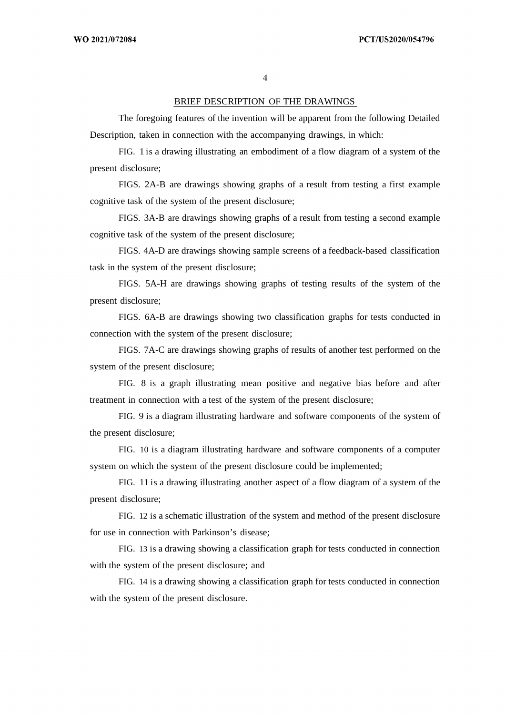$\overline{4}$ 

## BRIEF DESCRIPTION OF THE DRAWINGS

The foregoing features of the invention will be apparent from the following Detailed Description, taken in connection with the accompanying drawings, in which:

FIG. 1 is a drawing illustrating an embodiment of a flow diagram of a system of the present disclosure;

FIGS. 2A-B are drawings showing graphs of a result from testing a first example cognitive task of the system of the present disclosure;

FIGS. 3A-B are drawings showing graphs of a result from testing a second example cognitive task of the system of the present disclosure;

FIGS. 4A-D are drawings showing sample screens of a feedback-based classification task in the system of the present disclosure;

FIGS. 5A-H are drawings showing graphs of testing results of the system of the present disclosure;

FIGS. 6A-B are drawings showing two classification graphs for tests conducted in connection with the system of the present disclosure;

FIGS. 7A-C are drawings showing graphs of results of another test performed on the system of the present disclosure;

FIG. 8 is a graph illustrating mean positive and negative bias before and after treatment in connection with a test of the system of the present disclosure;

FIG. 9 is a diagram illustrating hardware and software components of the system of the present disclosure;

FIG. 10 is a diagram illustrating hardware and software components of a computer system on which the system of the present disclosure could be implemented;

FIG. 11 is a drawing illustrating another aspect of a flow diagram of a system of the present disclosure;

FIG. 12 is a schematic illustration of the system and method of the present disclosure for use in connection with Parkinson's disease;

FIG. 13 is a drawing showing a classification graph for tests conducted in connection with the system of the present disclosure; and

FIG. 14 is a drawing showing a classification graph for tests conducted in connection with the system of the present disclosure.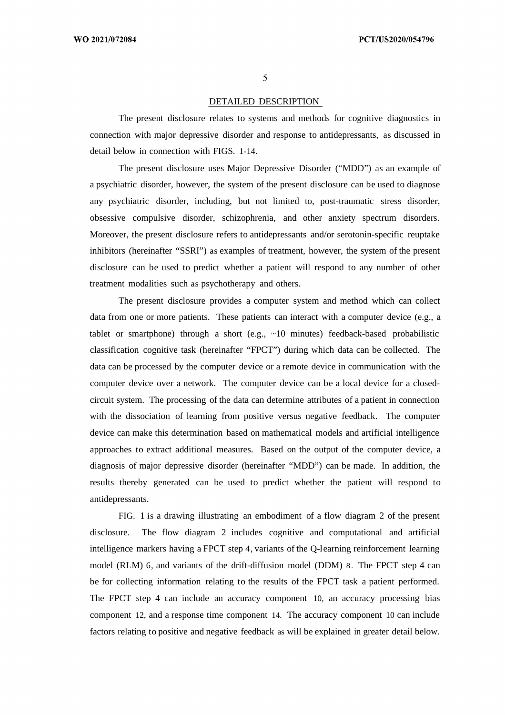## DETAILED DESCRIPTION

The present disclosure relates to systems and methods for cognitive diagnostics in connection with major depressive disorder and response to antidepressants, as discussed in detail below in connection with FIGS. 1-14.

The present disclosure uses Major Depressive Disorder ("MDD") as an example of a psychiatric disorder, however, the system of the present disclosure can be used to diagnose any psychiatric disorder, including, but not limited to, post-traumatic stress disorder, obsessive compulsive disorder, schizophrenia, and other anxiety spectrum disorders. Moreover, the present disclosure refers to antidepressants and/or serotonin-specific reuptake inhibitors (hereinafter "SSRI") as examples of treatment, however, the system of the present disclosure can be used to predict whether a patient will respond to any number of other treatment modalities such as psychotherapy and others.

The present disclosure provides a computer system and method which can collect data from one or more patients. These patients can interact with a computer device (e.g., a tablet or smartphone) through a short (e.g., ~10 minutes) feedback-based probabilistic classification cognitive task (hereinafter "FPCT") during which data can be collected. The data can be processed by the computer device or a remote device in communication with the computer device over a network. The computer device can be a local device for a closedcircuit system. The processing of the data can determine attributes of a patient in connection with the dissociation of learning from positive versus negative feedback. The computer device can make this determination based on mathematical models and artificial intelligence approaches to extract additional measures. Based on the output of the computer device, a diagnosis of major depressive disorder (hereinafter "MDD") can be made. In addition, the results thereby generated can be used to predict whether the patient will respond to antidepressants.

FIG. 1 is a drawing illustrating an embodiment of a flow diagram 2 of the present disclosure. The flow diagram 2 includes cognitive and computational and artificial intelligence markers having a FPCT step 4, variants of the Q-learning reinforcement learning model (RLM) 6, and variants of the drift-diffusion model (DDM) 8. The FPCT step 4 can be for collecting information relating to the results of the FPCT task a patient performed. The FPCT step 4 can include an accuracy component 10, an accuracy processing bias component 12, and a response time component 14. The accuracy component 10 can include factors relating to positive and negative feedback as will be explained in greater detail below.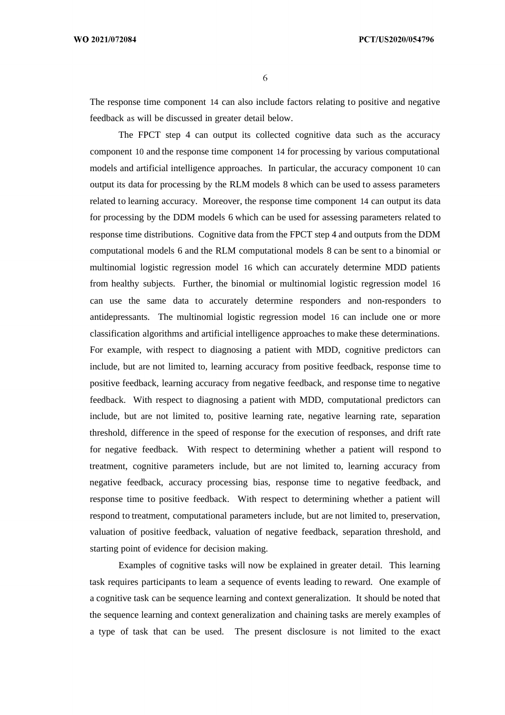WO 2021/072084

6

The response time component 14 can also include factors relating to positive and negative feedback as will be discussed in greater detail below.

The FPCT step 4 can output its collected cognitive data such as the accuracy component 10 and the response time component 14 for processing by various computational models and artificial intelligence approaches. In particular, the accuracy component 10 can output its data for processing by the RLM models 8 which can be used to assess parameters related to learning accuracy. Moreover, the response time component 14 can output its data for processing by the DDM models 6 which can be used for assessing parameters related to response time distributions. Cognitive data from the FPCT step 4 and outputs from the DDM computational models 6 and the RLM computational models 8 can be sent to a binomial or multinomial logistic regression model 16 which can accurately determine MDD patients from healthy subjects. Further, the binomial or multinomial logistic regression model 16 can use the same data to accurately determine responders and non-responders to antidepressants. The multinomial logistic regression model 16 can include one or more classification algorithms and artificial intelligence approaches to make these determinations. For example, with respect to diagnosing a patient with MDD, cognitive predictors can include, but are not limited to, learning accuracy from positive feedback, response time to positive feedback, learning accuracy from negative feedback, and response time to negative feedback. With respect to diagnosing a patient with MDD, computational predictors can include, but are not limited to, positive learning rate, negative learning rate, separation threshold, difference in the speed of response for the execution of responses, and drift rate for negative feedback. With respect to determining whether a patient will respond to treatment, cognitive parameters include, but are not limited to, learning accuracy from negative feedback, accuracy processing bias, response time to negative feedback, and response time to positive feedback. With respect to determining whether a patient will respond to treatment, computational parameters include, but are not limited to, preservation, valuation of positive feedback, valuation of negative feedback, separation threshold, and starting point of evidence for decision making.

Examples of cognitive tasks will now be explained in greater detail. This learning task requires participants to leam a sequence of events leading to reward. One example of a cognitive task can be sequence learning and context generalization. It should be noted that the sequence learning and context generalization and chaining tasks are merely examples of a type of task that can be used. The present disclosure is not limited to the exact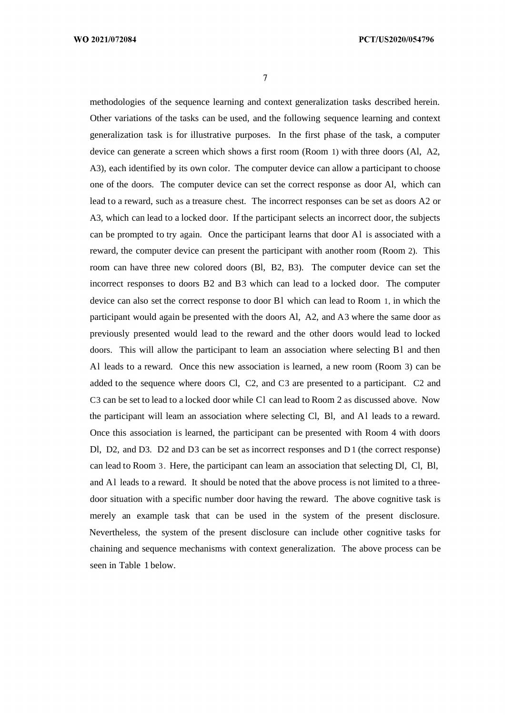$\overline{7}$ 

methodologies of the sequence learning and context generalization tasks described herein. Other variations of the tasks can be used, and the following sequence learning and context generalization task is for illustrative purposes. In the first phase of the task, a computer device can generate a screen which shows a first room (Room 1) with three doors (Al, A2, A3), each identified by its own color. The computer device can allow a participant to choose one of the doors. The computer device can set the correct response as door Al, which can lead to a reward, such as a treasure chest. The incorrect responses can be set as doors A2 or A3, which can lead to a locked door. If the participant selects an incorrect door, the subjects can be prompted to try again. Once the participant learns that door Al is associated with a reward, the computer device can present the participant with another room (Room 2). This room can have three new colored doors (Bl, B2, B3). The computer device can set the incorrect responses to doors B2 and B3 which can lead to a locked door. The computer device can also set the correct response to door Bl which can lead to Room 1, in which the participant would again be presented with the doors Al, A2, and A3 where the same door as previously presented would lead to the reward and the other doors would lead to locked doors. This will allow the participant to leam an association where selecting Bl and then Al leads to a reward. Once this new association is learned, a new room (Room 3) can be added to the sequence where doors Cl, C2, and C3 are presented to a participant. C2 and C3 can be set to lead to a locked door while Cl can lead to Room 2 as discussed above. Now the participant will leam an association where selecting Cl, Bl, and Al leads to a reward. Once this association is learned, the participant can be presented with Room 4 with doors Dl, D2, and D3. D2 and D3 can be set as incorrect responses and D 1 (the correct response) can lead to Room 3. Here, the participant can leam an association that selecting Dl, Cl, Bl, and Al leads to a reward. It should be noted that the above process is not limited to a threedoor situation with a specific number door having the reward. The above cognitive task is merely an example task that can be used in the system of the present disclosure. Nevertheless, the system of the present disclosure can include other cognitive tasks for chaining and sequence mechanisms with context generalization. The above process can be seen in Table 1 below.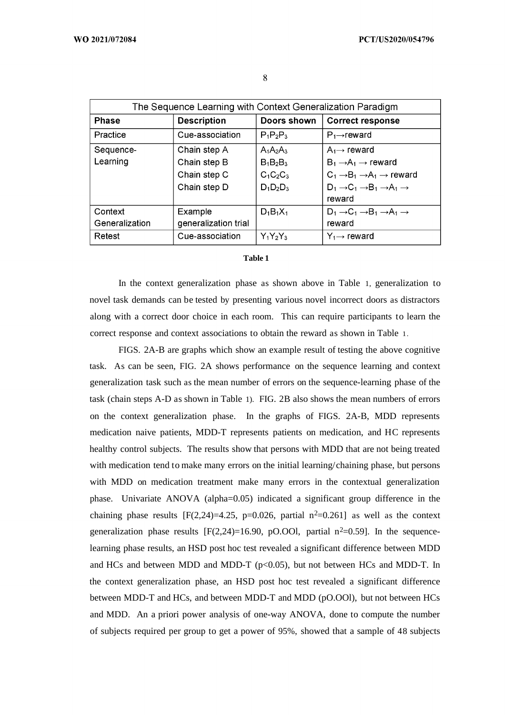|                | The Sequence Learning with Context Generalization Paradigm |             |                                                                   |  |
|----------------|------------------------------------------------------------|-------------|-------------------------------------------------------------------|--|
| <b>Phase</b>   | <b>Description</b>                                         | Doors shown | <b>Correct response</b>                                           |  |
| Practice       | Cue-association                                            | $P_1P_2P_3$ | $P_1 \rightarrow$ reward                                          |  |
| Sequence-      | Chain step A                                               | $A_1A_2A_3$ | $A_1 \rightarrow$ reward                                          |  |
| Learning       | Chain step B                                               | $B_1B_2B_3$ | $B_1 \rightarrow A_1 \rightarrow$ reward                          |  |
|                | Chain step C                                               | $C_1C_2C_3$ | $C_1 \rightarrow B_1 \rightarrow A_1 \rightarrow$ reward          |  |
|                | Chain step D                                               | $D_1D_2D_3$ | $D_1 \rightarrow C_1 \rightarrow B_1 \rightarrow A_1 \rightarrow$ |  |
| reward         |                                                            |             |                                                                   |  |
| Context        | Example                                                    | $D_1B_1X_1$ | $D_1 \rightarrow C_1 \rightarrow B_1 \rightarrow A_1 \rightarrow$ |  |
| Generalization | generalization trial                                       |             | reward                                                            |  |
| Retest         | Cue-association                                            | $Y_1Y_2Y_3$ | $Y_1 \rightarrow$ reward                                          |  |

#### **Table 1**

In the context generalization phase as shown above in Table 1, generalization to novel task demands can be tested by presenting various novel incorrect doors as distractors along with a correct door choice in each room. This can require participants to learn the correct response and context associations to obtain the reward as shown in Table 1.

FIGS. 2A-B are graphs which show an example result of testing the above cognitive task. As can be seen, FIG. 2A shows performance on the sequence learning and context generalization task such as the mean number of errors on the sequence-learning phase of the task (chain steps A-D as shown in Table 1). FIG. 2B also shows the mean numbers of errors on the context generalization phase. In the graphs of FIGS. 2A-B, MDD represents medication naive patients, MDD-T represents patients on medication, and HC represents healthy control subjects. The results show that persons with MDD that are not being treated with medication tend to make many errors on the initial learning/chaining phase, but persons with MDD on medication treatment make many errors in the contextual generalization phase. Univariate ANOVA (alpha=0.05) indicated a significant group difference in the chaining phase results  $[F(2,24)=4.25, p=0.026, partial n<sup>2</sup>=0.261]$  as well as the context generalization phase results  $[F(2,24)=16.90, pO.OOl,$  partial  $n^2=0.59$ ]. In the sequencelearning phase results, an HSD post hoc test revealed a significant difference between MDD and HCs and between MDD and MDD-T ( $p<0.05$ ), but not between HCs and MDD-T. In the context generalization phase, an HSD post hoc test revealed a significant difference between MDD-T and HCs, and between MDD-T and MDD (pO.OOl), but not between HCs and MDD. An a priori power analysis of one-way ANOVA, done to compute the number of subjects required per group to get a power of 95%, showed that a sample of 48 subjects

8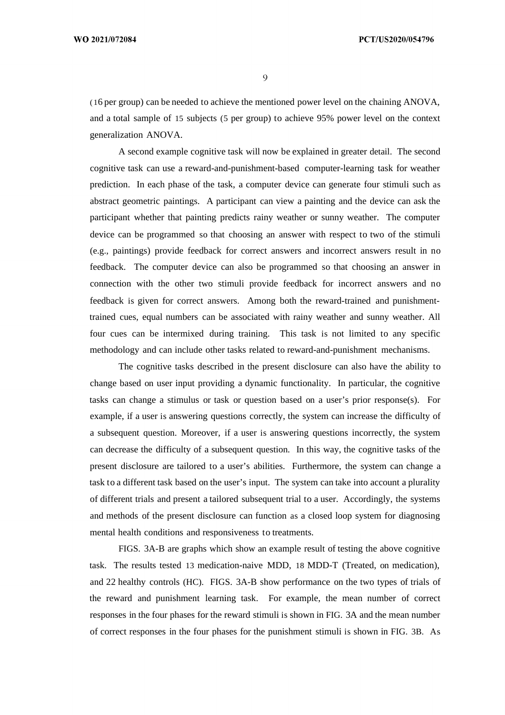WO 2021/072084

9

( 16 per group) can be needed to achieve the mentioned power level on the chaining ANOVA, and a total sample of 15 subjects (5 per group) to achieve 95% power level on the context generalization ANOVA.

A second example cognitive task will now be explained in greater detail. The second cognitive task can use a reward-and-punishment-based computer-learning task for weather prediction. In each phase of the task, a computer device can generate four stimuli such as abstract geometric paintings. A participant can view a painting and the device can ask the participant whether that painting predicts rainy weather or sunny weather. The computer device can be programmed so that choosing an answer with respect to two of the stimuli (e.g., paintings) provide feedback for correct answers and incorrect answers result in no feedback. The computer device can also be programmed so that choosing an answer in connection with the other two stimuli provide feedback for incorrect answers and no feedback is given for correct answers. Among both the reward-trained and punishmenttrained cues, equal numbers can be associated with rainy weather and sunny weather. All four cues can be intermixed during training. This task is not limited to any specific methodology and can include other tasks related to reward-and-punishment mechanisms.

The cognitive tasks described in the present disclosure can also have the ability to change based on user input providing a dynamic functionality. In particular, the cognitive tasks can change a stimulus or task or question based on a user's prior response(s). For example, if a user is answering questions correctly, the system can increase the difficulty of a subsequent question. Moreover, if a user is answering questions incorrectly, the system can decrease the difficulty of a subsequent question. In this way, the cognitive tasks of the present disclosure are tailored to a user's abilities. Furthermore, the system can change a task to a different task based on the user's input. The system can take into account a plurality of different trials and present a tailored subsequent trial to a user. Accordingly, the systems and methods of the present disclosure can function as a closed loop system for diagnosing mental health conditions and responsiveness to treatments.

FIGS. 3A-B are graphs which show an example result of testing the above cognitive task. The results tested 13 medication-naive MDD, 18 MDD-T (Treated, on medication), and 22 healthy controls (HC). FIGS. 3A-B show performance on the two types of trials of the reward and punishment learning task. For example, the mean number of correct responses in the four phases for the reward stimuli is shown in FIG. 3A and the mean number of correct responses in the four phases for the punishment stimuli is shown in FIG. 3B. As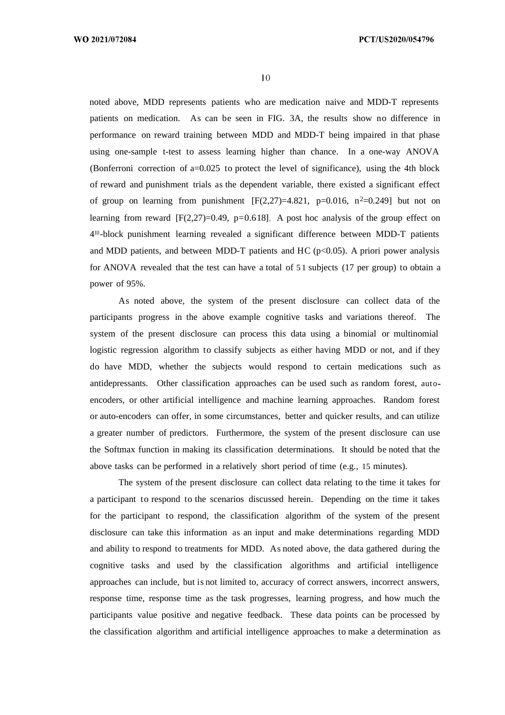noted above, MDD represents patients who are medication naive and MDD-T represents patients on medication. As can be seen in FIG. 3A, the results show no difference in performance on reward training between MDD and MDD-T being impaired in that phase using one-sample t-test to assess learning higher than chance. In a one-way ANOVA (Bonferroni correction of  $a=0.025$  to protect the level of significance), using the 4th block of reward and punishment trials as the dependent variable, there existed a significant effect of group on learning from punishment  $[F(2,27)=4.821, p=0.016, n^2=0.249]$  but not on learning from reward  $[F(2,27)=0.49, p=0.618]$ . A post hoc analysis of the group effect on 4 lll-block punishment learning revealed a significant difference between MDD-T patients and MDD patients, and between MDD-T patients and HC ( $p<0.05$ ). A priori power analysis for ANOVA revealed that the test can have a total of 5 1 subjects (17 per group) to obtain a power of 95%.

As noted above, the system of the present disclosure can collect data of the participants progress in the above example cognitive tasks and variations thereof. The system of the present disclosure can process this data using a binomial or multinomial logistic regression algorithm to classify subjects as either having MDD or not, and if they do have MDD, whether the subjects would respond to certain medications such as antidepressants. Other classification approaches can be used such as random forest, auto encoders, or other artificial intelligence and machine learning approaches. Random forest or auto-encoders can offer, in some circumstances, better and quicker results, and can utilize a greater number of predictors. Furthermore, the system of the present disclosure can use the Softmax function in making its classification determinations. It should be noted that the above tasks can be performed in a relatively short period of time (e.g., 15 minutes).

The system of the present disclosure can collect data relating to the time it takes for a participant to respond to the scenarios discussed herein. Depending on the time it takes for the participant to respond, the classification algorithm of the system of the present disclosure can take this information as an input and make determinations regarding MDD and ability to respond to treatments for MDD. As noted above, the data gathered during the cognitive tasks and used by the classification algorithms and artificial intelligence approaches can include, but is not limited to, accuracy of correct answers, incorrect answers, response time, response time as the task progresses, learning progress, and how much the participants value positive and negative feedback. These data points can be processed by the classification algorithm and artificial intelligence approaches to make a determination as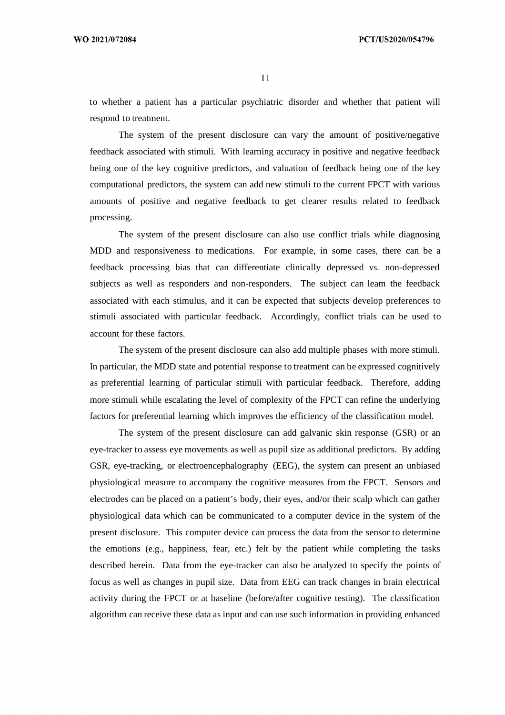to whether a patient has a particular psychiatric disorder and whether that patient will respond to treatment.

The system of the present disclosure can vary the amount of positive/negative feedback associated with stimuli. With learning accuracy in positive and negative feedback being one of the key cognitive predictors, and valuation of feedback being one of the key computational predictors, the system can add new stimuli to the current FPCT with various amounts of positive and negative feedback to get clearer results related to feedback processing.

The system of the present disclosure can also use conflict trials while diagnosing MDD and responsiveness to medications. For example, in some cases, there can be a feedback processing bias that can differentiate clinically depressed vs. non-depressed subjects as well as responders and non-responders. The subject can leam the feedback associated with each stimulus, and it can be expected that subjects develop preferences to stimuli associated with particular feedback. Accordingly, conflict trials can be used to account for these factors.

The system of the present disclosure can also add multiple phases with more stimuli. In particular, the MDD state and potential response to treatment can be expressed cognitively as preferential learning of particular stimuli with particular feedback. Therefore, adding more stimuli while escalating the level of complexity of the FPCT can refine the underlying factors for preferential learning which improves the efficiency of the classification model.

The system of the present disclosure can add galvanic skin response (GSR) or an eye-tracker to assess eye movements as well as pupil size as additional predictors. By adding GSR, eye-tracking, or electroencephalography (EEG), the system can present an unbiased physiological measure to accompany the cognitive measures from the FPCT. Sensors and electrodes can be placed on a patient's body, their eyes, and/or their scalp which can gather physiological data which can be communicated to a computer device in the system of the present disclosure. This computer device can process the data from the sensor to determine the emotions (e.g., happiness, fear, etc.) felt by the patient while completing the tasks described herein. Data from the eye-tracker can also be analyzed to specify the points of focus as well as changes in pupil size. Data from EEG can track changes in brain electrical activity during the FPCT or at baseline (before/after cognitive testing). The classification algorithm can receive these data as input and can use such information in providing enhanced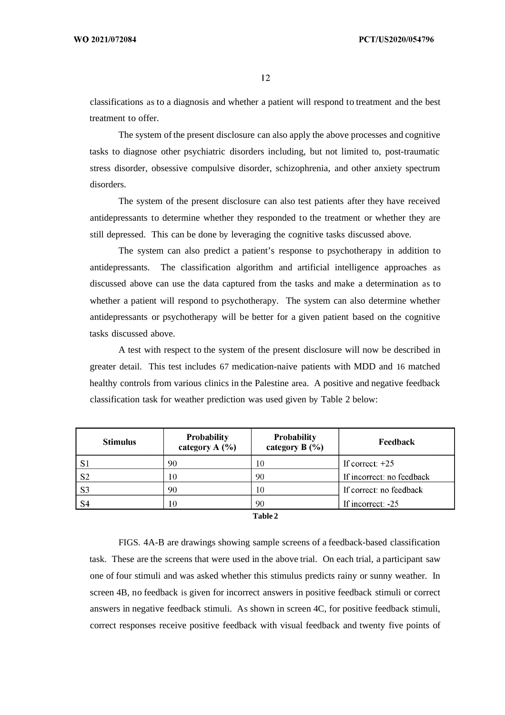classifications as to a diagnosis and whether a patient will respond to treatment and the best treatment to offer.

The system of the present disclosure can also apply the above processes and cognitive tasks to diagnose other psychiatric disorders including, but not limited to, post-traumatic stress disorder, obsessive compulsive disorder, schizophrenia, and other anxiety spectrum disorders.

The system of the present disclosure can also test patients after they have received antidepressants to determine whether they responded to the treatment or whether they are still depressed. This can be done by leveraging the cognitive tasks discussed above.

The system can also predict a patient's response to psychotherapy in addition to antidepressants. The classification algorithm and artificial intelligence approaches as discussed above can use the data captured from the tasks and make a determination as to whether a patient will respond to psychotherapy. The system can also determine whether antidepressants or psychotherapy will be better for a given patient based on the cognitive tasks discussed above.

A test with respect to the system of the present disclosure will now be described in greater detail. This test includes 67 medication-naive patients with MDD and 16 matched healthy controls from various clinics in the Palestine area. A positive and negative feedback classification task for weather prediction was used given by Table 2 below:

| <b>Stimulus</b> | <b>Probability</b><br>category $A(%)$ | <b>Probability</b><br>category $B(%)$ | Feedback                  |
|-----------------|---------------------------------------|---------------------------------------|---------------------------|
| -S1             | 90                                    | 10                                    | If correct: $+25$         |
| S <sub>2</sub>  | 10                                    | 90                                    | If incorrect: no feedback |
| S <sub>3</sub>  | 90                                    | 10                                    | If correct: no feedback   |
| -S4             | ١O                                    | 90                                    | If incorrect: -25         |

**Table 2**

FIGS. 4A-B are drawings showing sample screens of a feedback-based classification task. These are the screens that were used in the above trial. On each trial, a participant saw one of four stimuli and was asked whether this stimulus predicts rainy or sunny weather. In screen 4B, no feedback is given for incorrect answers in positive feedback stimuli or correct answers in negative feedback stimuli. As shown in screen 4C, for positive feedback stimuli, correct responses receive positive feedback with visual feedback and twenty five points of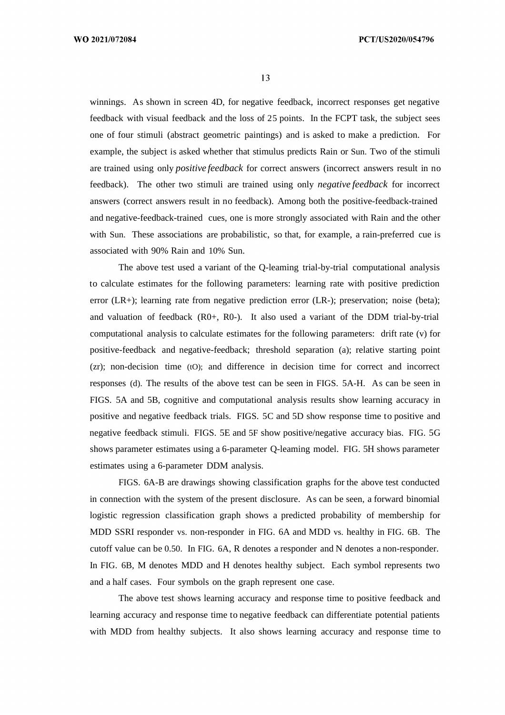winnings. As shown in screen 4D, for negative feedback, incorrect responses get negative feedback with visual feedback and the loss of 25 points. In the FCPT task, the subject sees one of four stimuli (abstract geometric paintings) and is asked to make a prediction. For example, the subject is asked whether that stimulus predicts Rain or Sun. Two of the stimuli are trained using only *positive feedback* for correct answers (incorrect answers result in no feedback). The other two stimuli are trained using only *negative feedback* for incorrect answers (correct answers result in no feedback). Among both the positive-feedback-trained and negative-feedback-trained cues, one is more strongly associated with Rain and the other with Sun. These associations are probabilistic, so that, for example, a rain-preferred cue is associated with 90% Rain and 10% Sun.

The above test used a variant of the Q-leaming trial-by-trial computational analysis to calculate estimates for the following parameters: learning rate with positive prediction error (LR+); learning rate from negative prediction error (LR-); preservation; noise (beta); and valuation of feedback (R0+, R0-). It also used a variant of the DDM trial-by-trial computational analysis to calculate estimates for the following parameters: drift rate (v) for positive-feedback and negative-feedback; threshold separation (a); relative starting point (zr); non-decision time (tO); and difference in decision time for correct and incorrect responses (d). The results of the above test can be seen in FIGS. 5A-H. As can be seen in FIGS. 5A and 5B, cognitive and computational analysis results show learning accuracy in positive and negative feedback trials. FIGS. 5C and 5D show response time to positive and negative feedback stimuli. FIGS. 5E and 5F show positive/negative accuracy bias. FIG. 5G shows parameter estimates using a 6-parameter Q-leaming model. FIG. 5H shows parameter estimates using a 6-parameter DDM analysis.

FIGS. 6A-B are drawings showing classification graphs for the above test conducted in connection with the system of the present disclosure. As can be seen, a forward binomial logistic regression classification graph shows a predicted probability of membership for MDD SSRI responder vs. non-responder in FIG. 6A and MDD vs. healthy in FIG. 6B. The cutoff value can be 0.50. In FIG. 6A, R denotes a responder and N denotes a non-responder. In FIG. 6B, M denotes MDD and H denotes healthy subject. Each symbol represents two and a half cases. Four symbols on the graph represent one case.

The above test shows learning accuracy and response time to positive feedback and learning accuracy and response time to negative feedback can differentiate potential patients with MDD from healthy subjects. It also shows learning accuracy and response time to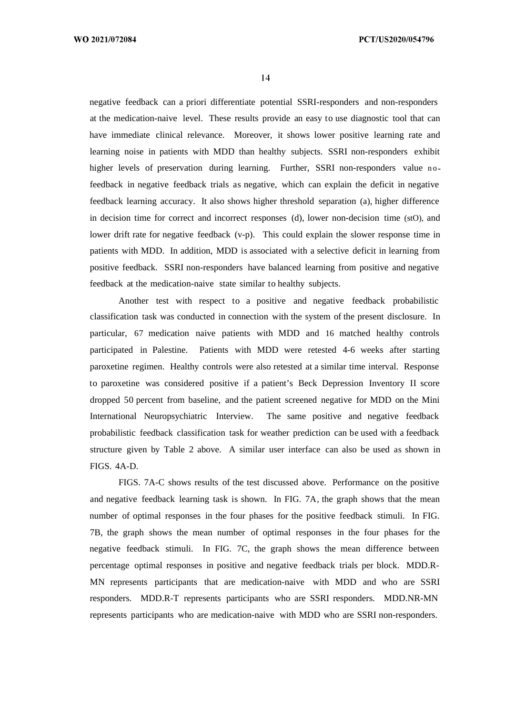negative feedback can a priori differentiate potential SSRI-responders and non-responders at the medication-naive level. These results provide an easy to use diagnostic tool that can have immediate clinical relevance. Moreover, it shows lower positive learning rate and learning noise in patients with MDD than healthy subjects. SSRI non-responders exhibit higher levels of preservation during learning. Further, SSRI non-responders value nofeedback in negative feedback trials as negative, which can explain the deficit in negative feedback learning accuracy. It also shows higher threshold separation (a), higher difference in decision time for correct and incorrect responses (d), lower non-decision time (stO), and lower drift rate for negative feedback (v-p). This could explain the slower response time in patients with MDD. In addition, MDD is associated with a selective deficit in learning from positive feedback. SSRI non-responders have balanced learning from positive and negative feedback at the medication-naive state similar to healthy subjects.

Another test with respect to a positive and negative feedback probabilistic classification task was conducted in connection with the system of the present disclosure. In particular, 67 medication naive patients with MDD and 16 matched healthy controls participated in Palestine. Patients with MDD were retested 4-6 weeks after starting paroxetine regimen. Healthy controls were also retested at a similar time interval. Response to paroxetine was considered positive if a patient's Beck Depression Inventory II score dropped 50 percent from baseline, and the patient screened negative for MDD on the Mini International Neuropsychiatric Interview. The same positive and negative feedback probabilistic feedback classification task for weather prediction can be used with a feedback structure given by Table 2 above. A similar user interface can also be used as shown in FIGS. 4A-D.

FIGS. 7A-C shows results of the test discussed above. Performance on the positive and negative feedback learning task is shown. In FIG. 7A, the graph shows that the mean number of optimal responses in the four phases for the positive feedback stimuli. In FIG. 7B, the graph shows the mean number of optimal responses in the four phases for the negative feedback stimuli. In FIG. 7C, the graph shows the mean difference between percentage optimal responses in positive and negative feedback trials per block. MDD.R-MN represents participants that are medication-naive with MDD and who are SSRI responders. MDD.R-T represents participants who are SSRI responders. MDD.NR-MN represents participants who are medication-naive with MDD who are SSRI non-responders.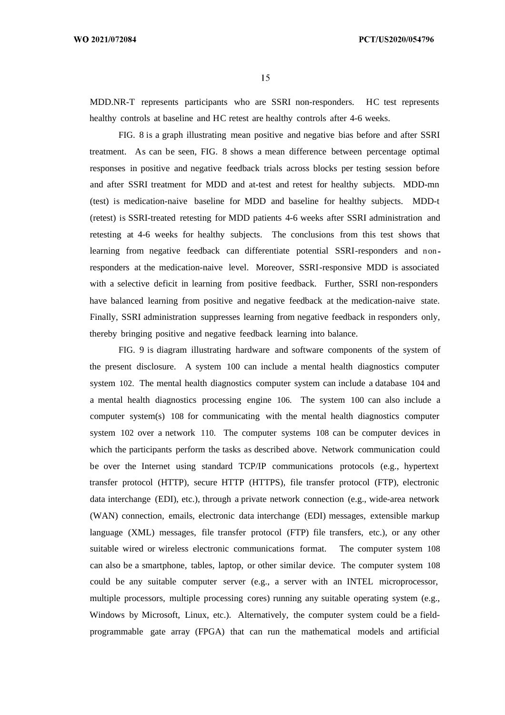MDD.NR-T represents participants who are SSRI non-responders. HC test represents healthy controls at baseline and HC retest are healthy controls after 4-6 weeks.

FIG. 8 is a graph illustrating mean positive and negative bias before and after SSRI treatment. As can be seen, FIG. 8 shows a mean difference between percentage optimal responses in positive and negative feedback trials across blocks per testing session before and after SSRI treatment for MDD and at-test and retest for healthy subjects. MDD-mn (test) is medication-naive baseline for MDD and baseline for healthy subjects. MDD-t (retest) is SSRI-treated retesting for MDD patients 4-6 weeks after SSRI administration and retesting at 4-6 weeks for healthy subjects. The conclusions from this test shows that learning from negative feedback can differentiate potential SSRI-responders and non responders at the medication-naive level. Moreover, SSRI-responsive MDD is associated with a selective deficit in learning from positive feedback. Further, SSRI non-responders have balanced learning from positive and negative feedback at the medication-naive state. Finally, SSRI administration suppresses learning from negative feedback in responders only, thereby bringing positive and negative feedback learning into balance.

FIG. 9 is diagram illustrating hardware and software components of the system of the present disclosure. A system 100 can include a mental health diagnostics computer system 102. The mental health diagnostics computer system can include a database 104 and a mental health diagnostics processing engine 106. The system 100 can also include a computer system(s) 108 for communicating with the mental health diagnostics computer system 102 over a network 110. The computer systems 108 can be computer devices in which the participants perform the tasks as described above. Network communication could be over the Internet using standard TCP/IP communications protocols (e.g., hypertext transfer protocol (HTTP), secure HTTP (HTTPS), file transfer protocol (FTP), electronic data interchange (EDI), etc.), through a private network connection (e.g., wide-area network (WAN) connection, emails, electronic data interchange (EDI) messages, extensible markup language (XML) messages, file transfer protocol (FTP) file transfers, etc.), or any other suitable wired or wireless electronic communications format. The computer system 108 can also be a smartphone, tables, laptop, or other similar device. The computer system 108 could be any suitable computer server (e.g., a server with an INTEL microprocessor, multiple processors, multiple processing cores) running any suitable operating system (e.g., Windows by Microsoft, Linux, etc.). Alternatively, the computer system could be a fieldprogrammable gate array (FPGA) that can run the mathematical models and artificial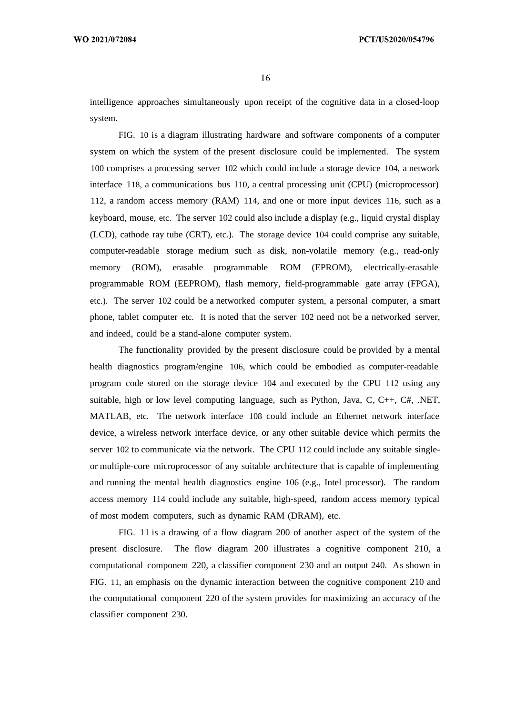intelligence approaches simultaneously upon receipt of the cognitive data in a closed-loop system.

FIG. 10 is a diagram illustrating hardware and software components of a computer system on which the system of the present disclosure could be implemented. The system 100 comprises a processing server 102 which could include a storage device 104, a network interface 118, a communications bus 110, a central processing unit (CPU) (microprocessor) 112, a random access memory (RAM) 114, and one or more input devices 116, such as a keyboard, mouse, etc. The server 102 could also include a display (e.g., liquid crystal display (LCD), cathode ray tube (CRT), etc.). The storage device 104 could comprise any suitable, computer-readable storage medium such as disk, non-volatile memory (e.g., read-only memory (ROM), erasable programmable ROM (EPROM), electrically-erasable programmable ROM (EEPROM), flash memory, field-programmable gate array (FPGA), etc.). The server 102 could be a networked computer system, a personal computer, a smart phone, tablet computer etc. It is noted that the server 102 need not be a networked server, and indeed, could be a stand-alone computer system.

The functionality provided by the present disclosure could be provided by a mental health diagnostics program/engine 106, which could be embodied as computer-readable program code stored on the storage device 104 and executed by the CPU 112 using any suitable, high or low level computing language, such as Python, Java, C,  $C_{++}$ ,  $C_{+}$ ,  $NET$ , MATLAB, etc. The network interface 108 could include an Ethernet network interface device, a wireless network interface device, or any other suitable device which permits the server 102 to communicate via the network. The CPU 112 could include any suitable singleor multiple-core microprocessor of any suitable architecture that is capable of implementing and running the mental health diagnostics engine 106 (e.g., Intel processor). The random access memory 114 could include any suitable, high-speed, random access memory typical of most modem computers, such as dynamic RAM (DRAM), etc.

FIG. 11 is a drawing of a flow diagram 200 of another aspect of the system of the present disclosure. The flow diagram 200 illustrates a cognitive component 210, a computational component 220, a classifier component 230 and an output 240. As shown in FIG. 11, an emphasis on the dynamic interaction between the cognitive component 210 and the computational component 220 of the system provides for maximizing an accuracy of the classifier component 230.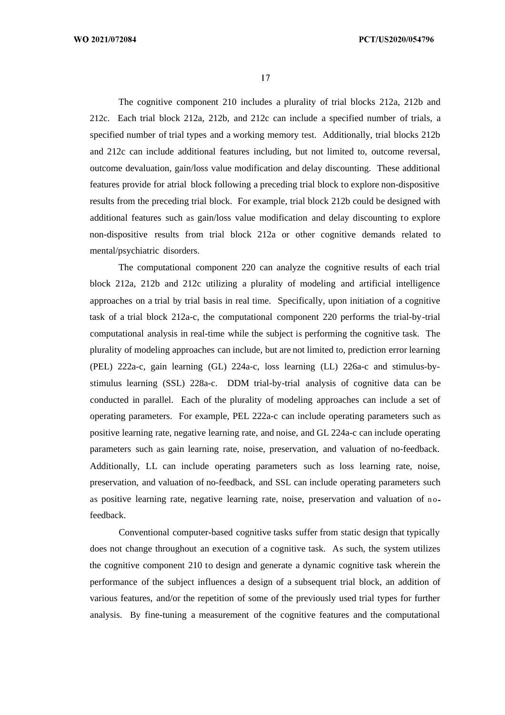WO 2021/072084

17

The cognitive component 210 includes a plurality of trial blocks 212a, 212b and 212c. Each trial block 212a, 212b, and 212c can include a specified number of trials, a specified number of trial types and a working memory test. Additionally, trial blocks 212b and 212c can include additional features including, but not limited to, outcome reversal, outcome devaluation, gain/loss value modification and delay discounting. These additional features provide for atrial block following a preceding trial block to explore non-dispositive results from the preceding trial block. For example, trial block 212b could be designed with additional features such as gain/loss value modification and delay discounting to explore non-dispositive results from trial block 212a or other cognitive demands related to mental/psychiatric disorders.

The computational component 220 can analyze the cognitive results of each trial block 212a, 212b and 212c utilizing a plurality of modeling and artificial intelligence approaches on a trial by trial basis in real time. Specifically, upon initiation of a cognitive task of a trial block 212a-c, the computational component 220 performs the trial-by-trial computational analysis in real-time while the subject is performing the cognitive task. The plurality of modeling approaches can include, but are not limited to, prediction error learning (PEL) 222a-c, gain learning (GL) 224a-c, loss learning (LL) 226a-c and stimulus-bystimulus learning (SSL) 228a-c. DDM trial-by-trial analysis of cognitive data can be conducted in parallel. Each of the plurality of modeling approaches can include a set of operating parameters. For example, PEL 222a-c can include operating parameters such as positive learning rate, negative learning rate, and noise, and GL 224a-c can include operating parameters such as gain learning rate, noise, preservation, and valuation of no-feedback. Additionally, LL can include operating parameters such as loss learning rate, noise, preservation, and valuation of no-feedback, and SSL can include operating parameters such as positive learning rate, negative learning rate, noise, preservation and valuation of nofeedback.

Conventional computer-based cognitive tasks suffer from static design that typically does not change throughout an execution of a cognitive task. As such, the system utilizes the cognitive component 210 to design and generate a dynamic cognitive task wherein the performance of the subject influences a design of a subsequent trial block, an addition of various features, and/or the repetition of some of the previously used trial types for further analysis. By fine-tuning a measurement of the cognitive features and the computational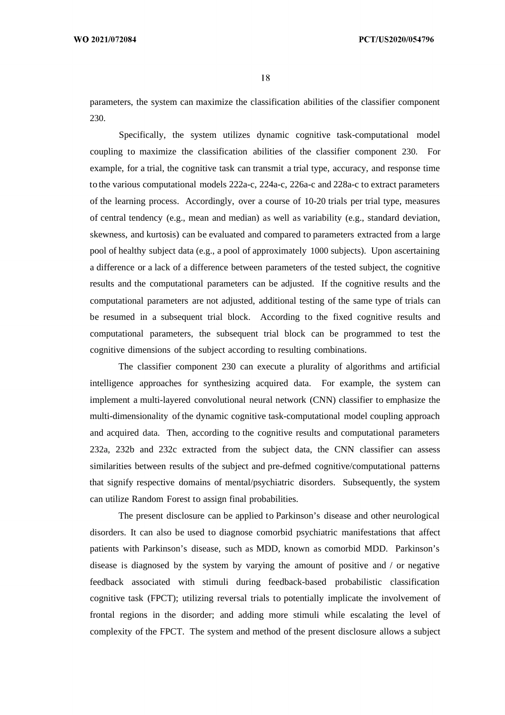parameters, the system can maximize the classification abilities of the classifier component 230.

Specifically, the system utilizes dynamic cognitive task-computational model coupling to maximize the classification abilities of the classifier component 230. For example, for a trial, the cognitive task can transmit a trial type, accuracy, and response time to the various computational models 222a-c, 224a-c, 226a-c and 228a-c to extract parameters of the learning process. Accordingly, over a course of 10-20 trials per trial type, measures of central tendency (e.g., mean and median) as well as variability (e.g., standard deviation, skewness, and kurtosis) can be evaluated and compared to parameters extracted from a large pool of healthy subject data (e.g., a pool of approximately 1000 subjects). Upon ascertaining a difference or a lack of a difference between parameters of the tested subject, the cognitive results and the computational parameters can be adjusted. If the cognitive results and the computational parameters are not adjusted, additional testing of the same type of trials can be resumed in a subsequent trial block. According to the fixed cognitive results and computational parameters, the subsequent trial block can be programmed to test the cognitive dimensions of the subject according to resulting combinations.

The classifier component 230 can execute a plurality of algorithms and artificial intelligence approaches for synthesizing acquired data. For example, the system can implement a multi-layered convolutional neural network (CNN) classifier to emphasize the multi-dimensionality of the dynamic cognitive task-computational model coupling approach and acquired data. Then, according to the cognitive results and computational parameters 232a, 232b and 232c extracted from the subject data, the CNN classifier can assess similarities between results of the subject and pre-defmed cognitive/computational patterns that signify respective domains of mental/psychiatric disorders. Subsequently, the system can utilize Random Forest to assign final probabilities.

The present disclosure can be applied to Parkinson's disease and other neurological disorders. It can also be used to diagnose comorbid psychiatric manifestations that affect patients with Parkinson's disease, such as MDD, known as comorbid MDD. Parkinson's disease is diagnosed by the system by varying the amount of positive and / or negative feedback associated with stimuli during feedback-based probabilistic classification cognitive task (FPCT); utilizing reversal trials to potentially implicate the involvement of frontal regions in the disorder; and adding more stimuli while escalating the level of complexity of the FPCT. The system and method of the present disclosure allows a subject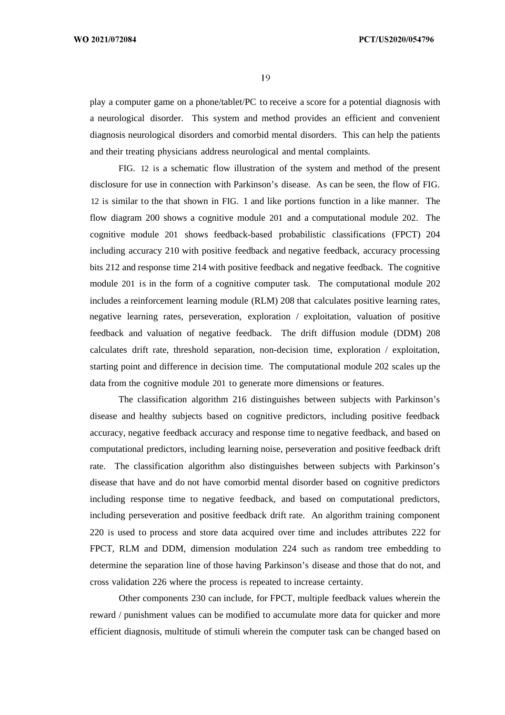play a computer game on a phone/tablet/PC to receive a score for a potential diagnosis with a neurological disorder. This system and method provides an efficient and convenient diagnosis neurological disorders and comorbid mental disorders. This can help the patients and their treating physicians address neurological and mental complaints.

FIG. 12 is a schematic flow illustration of the system and method of the present disclosure for use in connection with Parkinson's disease. As can be seen, the flow of FIG. 12 is similar to the that shown in FIG. 1 and like portions function in a like manner. The flow diagram 200 shows a cognitive module 201 and a computational module 202. The cognitive module 201 shows feedback-based probabilistic classifications (FPCT) 204 including accuracy 210 with positive feedback and negative feedback, accuracy processing bits 212 and response time 214 with positive feedback and negative feedback. The cognitive module 201 is in the form of a cognitive computer task. The computational module 202 includes a reinforcement learning module (RLM) 208 that calculates positive learning rates, negative learning rates, perseveration, exploration / exploitation, valuation of positive feedback and valuation of negative feedback. The drift diffusion module (DDM) 208 calculates drift rate, threshold separation, non-decision time, exploration / exploitation, starting point and difference in decision time. The computational module 202 scales up the data from the cognitive module 201 to generate more dimensions or features.

The classification algorithm 216 distinguishes between subjects with Parkinson's disease and healthy subjects based on cognitive predictors, including positive feedback accuracy, negative feedback accuracy and response time to negative feedback, and based on computational predictors, including learning noise, perseveration and positive feedback drift rate. The classification algorithm also distinguishes between subjects with Parkinson's disease that have and do not have comorbid mental disorder based on cognitive predictors including response time to negative feedback, and based on computational predictors, including perseveration and positive feedback drift rate. An algorithm training component 220 is used to process and store data acquired over time and includes attributes 222 for FPCT, RLM and DDM, dimension modulation 224 such as random tree embedding to determine the separation line of those having Parkinson's disease and those that do not, and cross validation 226 where the process is repeated to increase certainty.

Other components 230 can include, for FPCT, multiple feedback values wherein the reward / punishment values can be modified to accumulate more data for quicker and more efficient diagnosis, multitude of stimuli wherein the computer task can be changed based on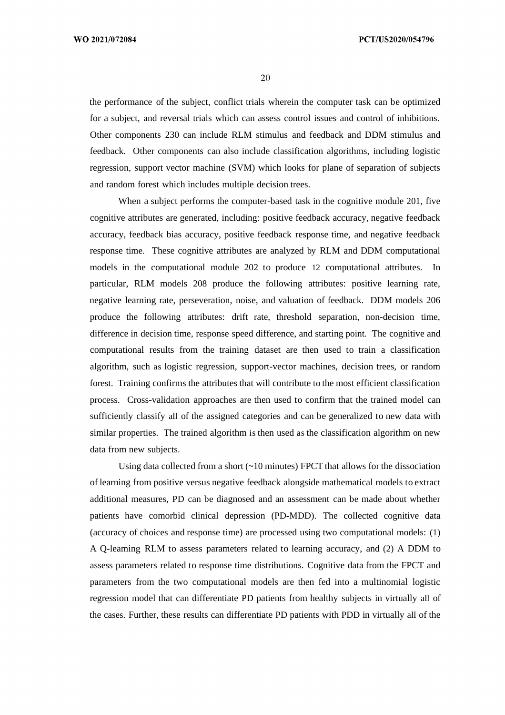WO 2021/072084

20

the performance of the subject, conflict trials wherein the computer task can be optimized for a subject, and reversal trials which can assess control issues and control of inhibitions. Other components 230 can include RLM stimulus and feedback and DDM stimulus and feedback. Other components can also include classification algorithms, including logistic regression, support vector machine (SVM) which looks for plane of separation of subjects and random forest which includes multiple decision trees.

When a subject performs the computer-based task in the cognitive module 201, five cognitive attributes are generated, including: positive feedback accuracy, negative feedback accuracy, feedback bias accuracy, positive feedback response time, and negative feedback response time. These cognitive attributes are analyzed by RLM and DDM computational models in the computational module 202 to produce 12 computational attributes. In particular, RLM models 208 produce the following attributes: positive learning rate, negative learning rate, perseveration, noise, and valuation of feedback. DDM models 206 produce the following attributes: drift rate, threshold separation, non-decision time, difference in decision time, response speed difference, and starting point. The cognitive and computational results from the training dataset are then used to train a classification algorithm, such as logistic regression, support-vector machines, decision trees, or random forest. Training confirms the attributes that will contribute to the most efficient classification process. Cross-validation approaches are then used to confirm that the trained model can sufficiently classify all of the assigned categories and can be generalized to new data with similar properties. The trained algorithm is then used as the classification algorithm on new data from new subjects.

Using data collected from a short  $(\sim 10 \text{ minutes})$  FPCT that allows for the dissociation of learning from positive versus negative feedback alongside mathematical models to extract additional measures, PD can be diagnosed and an assessment can be made about whether patients have comorbid clinical depression (PD-MDD). The collected cognitive data (accuracy of choices and response time) are processed using two computational models: (1) A Q-leaming RLM to assess parameters related to learning accuracy, and (2) A DDM to assess parameters related to response time distributions. Cognitive data from the FPCT and parameters from the two computational models are then fed into a multinomial logistic regression model that can differentiate PD patients from healthy subjects in virtually all of the cases. Further, these results can differentiate PD patients with PDD in virtually all of the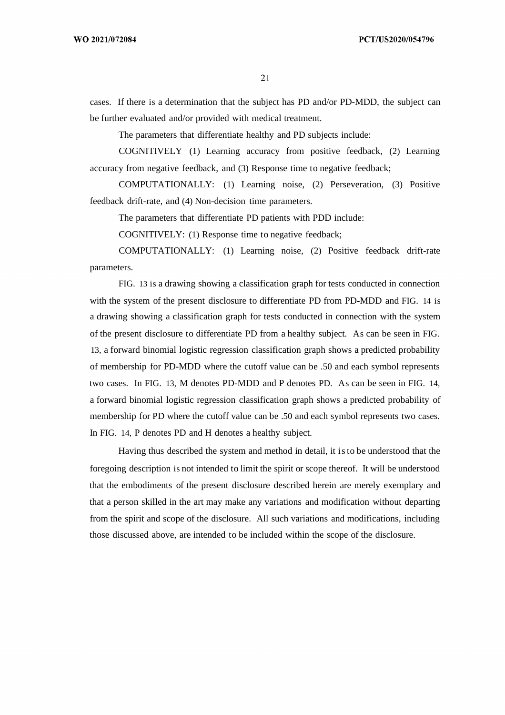cases. If there is a determination that the subject has PD and/or PD-MDD, the subject can be further evaluated and/or provided with medical treatment.

The parameters that differentiate healthy and PD subjects include:

COGNITIVELY (1) Learning accuracy from positive feedback, (2) Learning accuracy from negative feedback, and (3) Response time to negative feedback;

COMPUTATIONALLY: (1) Learning noise, (2) Perseveration, (3) Positive feedback drift-rate, and (4) Non-decision time parameters.

The parameters that differentiate PD patients with PDD include:

COGNITIVELY: (1) Response time to negative feedback;

COMPUTATIONALLY: (1) Learning noise, (2) Positive feedback drift-rate parameters.

FIG. 13 is a drawing showing a classification graph for tests conducted in connection with the system of the present disclosure to differentiate PD from PD-MDD and FIG. 14 is a drawing showing a classification graph for tests conducted in connection with the system of the present disclosure to differentiate PD from a healthy subject. As can be seen in FIG. 13, a forward binomial logistic regression classification graph shows a predicted probability of membership for PD-MDD where the cutoff value can be .50 and each symbol represents two cases. In FIG. 13, M denotes PD-MDD and P denotes PD. As can be seen in FIG. 14, a forward binomial logistic regression classification graph shows a predicted probability of membership for PD where the cutoff value can be .50 and each symbol represents two cases. In FIG. 14, P denotes PD and H denotes a healthy subject.

Having thus described the system and method in detail, it isto be understood that the foregoing description is not intended to limit the spirit or scope thereof. It will be understood that the embodiments of the present disclosure described herein are merely exemplary and that a person skilled in the art may make any variations and modification without departing from the spirit and scope of the disclosure. All such variations and modifications, including those discussed above, are intended to be included within the scope of the disclosure.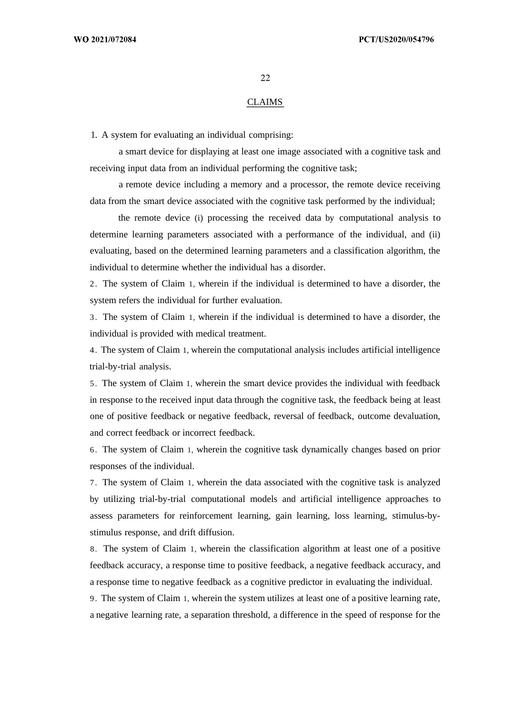#### CLAIMS

1. A system for evaluating an individual comprising:

a smart device for displaying at least one image associated with a cognitive task and receiving input data from an individual performing the cognitive task;

a remote device including a memory and a processor, the remote device receiving data from the smart device associated with the cognitive task performed by the individual;

the remote device (i) processing the received data by computational analysis to determine learning parameters associated with a performance of the individual, and (ii) evaluating, based on the determined learning parameters and a classification algorithm, the individual to determine whether the individual has a disorder.

2 . The system of Claim 1, wherein if the individual is determined to have a disorder, the system refers the individual for further evaluation.

3. The system of Claim 1, wherein if the individual is determined to have a disorder, the individual is provided with medical treatment.

4 . The system of Claim 1, wherein the computational analysis includes artificial intelligence trial-by-trial analysis.

5. The system of Claim 1, wherein the smart device provides the individual with feedback in response to the received input data through the cognitive task, the feedback being at least one of positive feedback or negative feedback, reversal of feedback, outcome devaluation, and correct feedback or incorrect feedback.

6. The system of Claim 1, wherein the cognitive task dynamically changes based on prior responses of the individual.

7. The system of Claim 1, wherein the data associated with the cognitive task is analyzed by utilizing trial-by-trial computational models and artificial intelligence approaches to assess parameters for reinforcement learning, gain learning, loss learning, stimulus-bystimulus response, and drift diffusion.

8. The system of Claim 1, wherein the classification algorithm at least one of a positive feedback accuracy, a response time to positive feedback, a negative feedback accuracy, and a response time to negative feedback as a cognitive predictor in evaluating the individual.

9. The system of Claim 1, wherein the system utilizes at least one of a positive learning rate, a negative learning rate, a separation threshold, a difference in the speed of response for the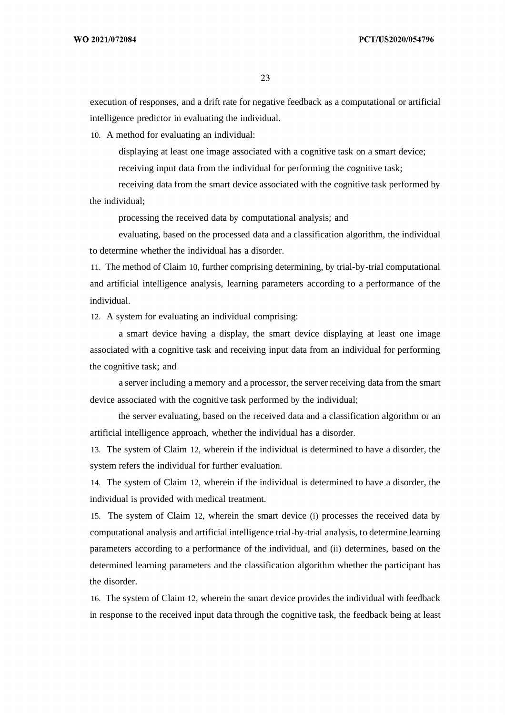execution of responses, and a drift rate for negative feedback as a computational or artificial intelligence predictor in evaluating the individual.

10. A method for evaluating an individual:

displaying at least one image associated with a cognitive task on a smart device; receiving input data from the individual for performing the cognitive task;

receiving data from the smart device associated with the cognitive task performed by the individual;

processing the received data by computational analysis; and

evaluating, based on the processed data and a classification algorithm, the individual to determine whether the individual has a disorder.

11. The method of Claim 10, further comprising determining, by trial-by-trial computational and artificial intelligence analysis, learning parameters according to a performance of the individual.

12. A system for evaluating an individual comprising:

a smart device having a display, the smart device displaying at least one image associated with a cognitive task and receiving input data from an individual for performing the cognitive task; and

a server including a memory and a processor, the server receiving data from the smart device associated with the cognitive task performed by the individual;

the server evaluating, based on the received data and a classification algorithm or an artificial intelligence approach, whether the individual has a disorder.

13. The system of Claim 12, wherein if the individual is determined to have a disorder, the system refers the individual for further evaluation.

14. The system of Claim 12, wherein if the individual is determined to have a disorder, the individual is provided with medical treatment.

15. The system of Claim 12, wherein the smart device (i) processes the received data by computational analysis and artificial intelligence trial-by-trial analysis, to determine learning parameters according to a performance of the individual, and (ii) determines, based on the determined learning parameters and the classification algorithm whether the participant has the disorder.

16. The system of Claim 12, wherein the smart device provides the individual with feedback in response to the received input data through the cognitive task, the feedback being at least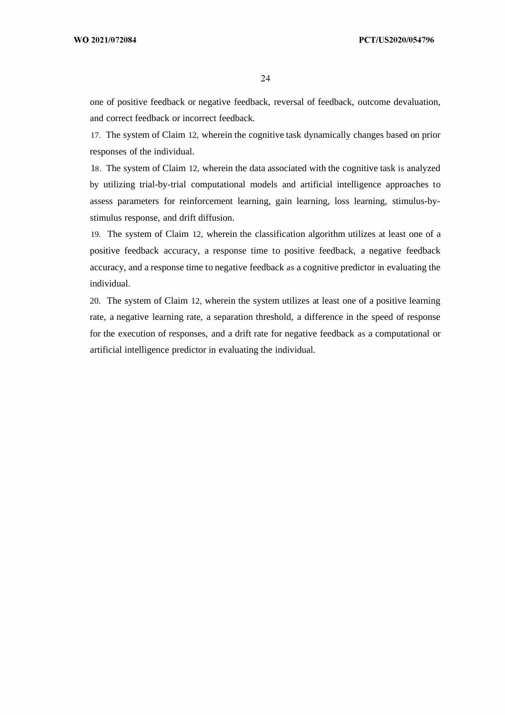one of positive feedback or negative feedback, reversal of feedback, outcome devaluation, and correct feedback or incorrect feedback.

17. The system of Claim 12, wherein the cognitive task dynamically changes based on prior responses of the individual.

18. The system of Claim 12, wherein the data associated with the cognitive task is analyzed by utilizing trial-by-trial computational models and artificial intelligence approaches to assess parameters for reinforcement learning, gain learning, loss learning, stimulus-bystimulus response, and drift diffusion.

19. The system of Claim 12, wherein the classification algorithm utilizes at least one of a positive feedback accuracy, a response time to positive feedback, a negative feedback accuracy, and a response time to negative feedback as a cognitive predictor in evaluating the individual.

20. The system of Claim 12, wherein the system utilizes at least one of a positive learning rate, a negative learning rate, a separation threshold, a difference in the speed of response for the execution of responses, and a drift rate for negative feedback as a computational or artificial intelligence predictor in evaluating the individual.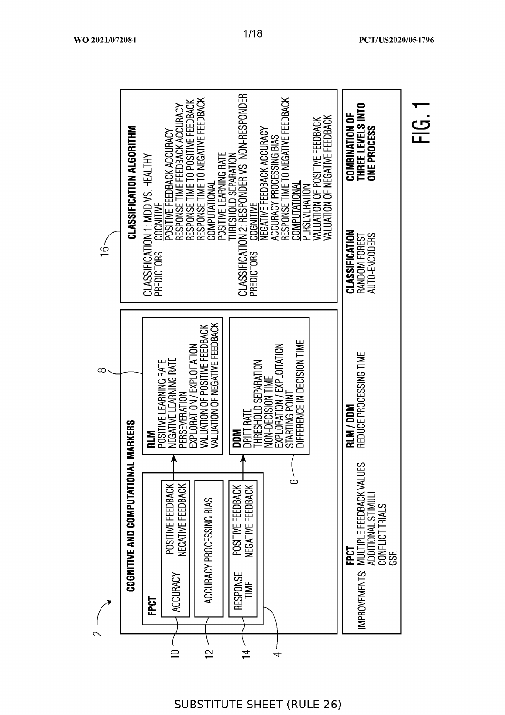|                                   |                                                     |                                                    |                                                                                               |                                                                                                                                                        |                                                                                                                  |                                                                                                                                                                       | THREE LEVELS INTO<br>COMBINATION OF<br><b>ONE PROCESS</b>                                            | ن<br><u>اب</u> |
|-----------------------------------|-----------------------------------------------------|----------------------------------------------------|-----------------------------------------------------------------------------------------------|--------------------------------------------------------------------------------------------------------------------------------------------------------|------------------------------------------------------------------------------------------------------------------|-----------------------------------------------------------------------------------------------------------------------------------------------------------------------|------------------------------------------------------------------------------------------------------|----------------|
|                                   |                                                     |                                                    | COMPUTATIONAL                                                                                 | CLASSIFICAT<br>PREDICTORS                                                                                                                              |                                                                                                                  |                                                                                                                                                                       | CLASSIFICATION<br>AUTO-ENCODERS<br>RANDOM FOREST                                                     |                |
|                                   | N<br>E                                              | NEGATIVE LEARNING RATE<br>PERSEVERATION            | VALUATION OF POSITIVE FEEDBACK<br>VALUATION OF NEGATIVE FEEDBACK                              | DRIFT RATE<br><b>Mad</b>                                                                                                                               | DIFFERENCE IN DECISION TIME<br>EXPLORATION / EXPLOITATION<br>NON-DECISION TIME<br>STARTING POINT                 |                                                                                                                                                                       | RLM / DDM<br>Reduce processing time                                                                  |                |
| <b>COGNITIVE AND COMPUTATIONA</b> | 당<br>모                                              | NEGATIVE FEEDBACK<br>POSITIVE FEEDBACK<br>ACCURACY | ACCURACY PROCESSING BIAS                                                                      | POSITIVE FEEDBACK<br>NEGATIVE FEEDBACK<br><b>RESPONSE</b><br>TIME <sub></sub>                                                                          | ،<br>م                                                                                                           |                                                                                                                                                                       | <b>FPCT</b><br>IMPROVEMENTS: MULTIPLE FEEDBACK VALUES<br>ADDITIONAL STIMUL<br>CONFLICT TRIALS<br>GSR |                |
|                                   | <b>CLASSIFICATION ALGORITHM</b><br><b>L MARKERS</b> | CLASSIFICATION 1: MDD VS. HEALTHY                  | POSITIVE FEEDBACK ACCURACY<br><b>COGNITIVE</b><br><b>PREDICTORS</b><br>POSITIVE LEARNING RATE | RESPONSE TIME FEEDBACK ACCURACY<br>RESPONSE TIME TO POSITIVE FEEDBACK<br>RESPONSE TIME TO NEGATIVE FEEDBACK<br>EXPLORATION / EXPLOITATION<br>$\approx$ | THRESHOLD SEPARATION<br>NON 2: RESPONDER VS. NON-RESPONDER<br>POSITIVE LEARNING RATE<br>$\overline{\mathcal{I}}$ | RESPONSE TIME TO NEGATIVE FEEDBACK<br><u>COGNITIVE</u><br>NEGATIVE FEEDBACK ACCURACY<br>ACCURACY PROCESSING BIAS<br><b>COMPUTATIONAL</b><br>THRESHOLD SEPARATION<br>4 | VALUATION OF NEGATIVE FEEDBACK<br>VALUATION OF POSITIVE FEEDBACK<br>PERSEVERATION                    |                |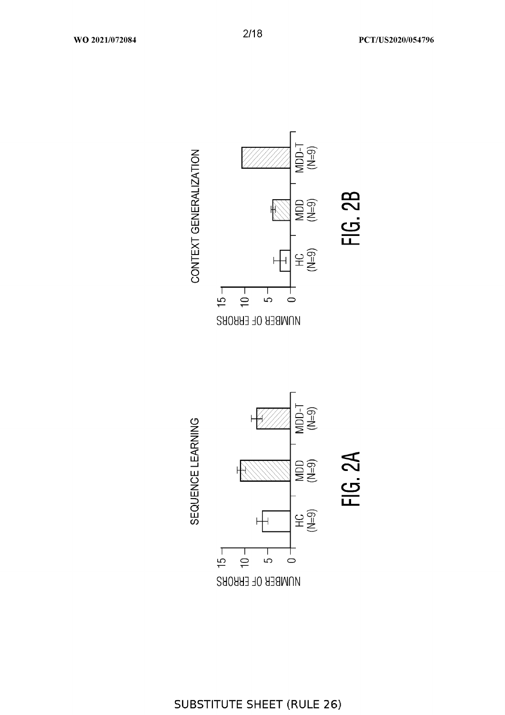

SEQUENCE LEARNING

CONTEXT GENERALIZATION

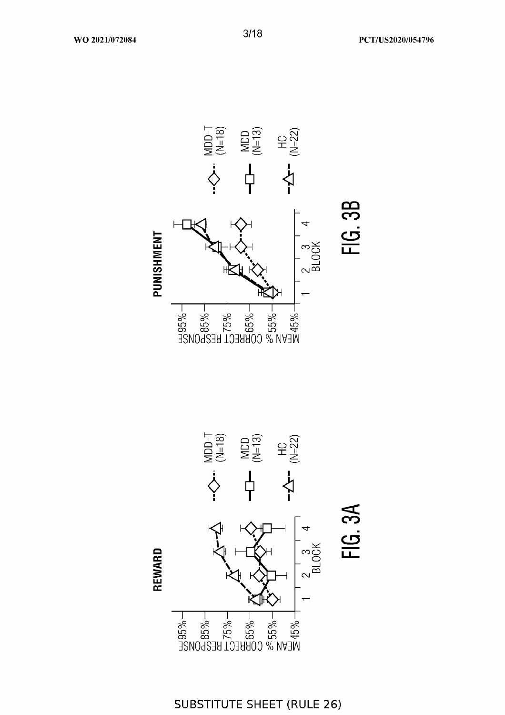





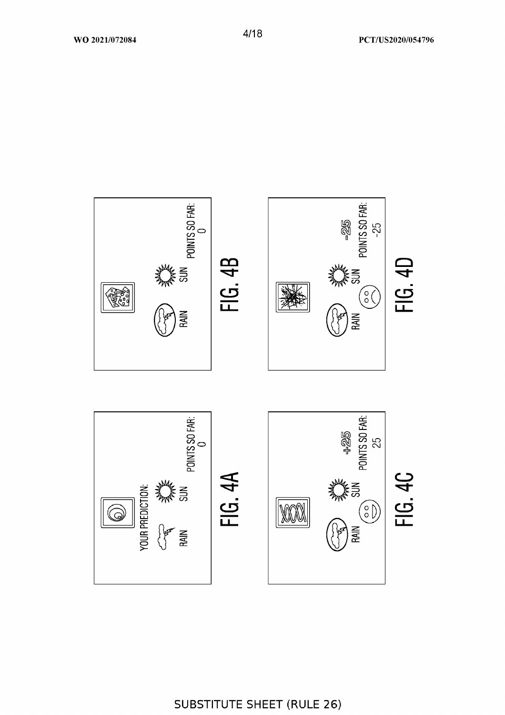

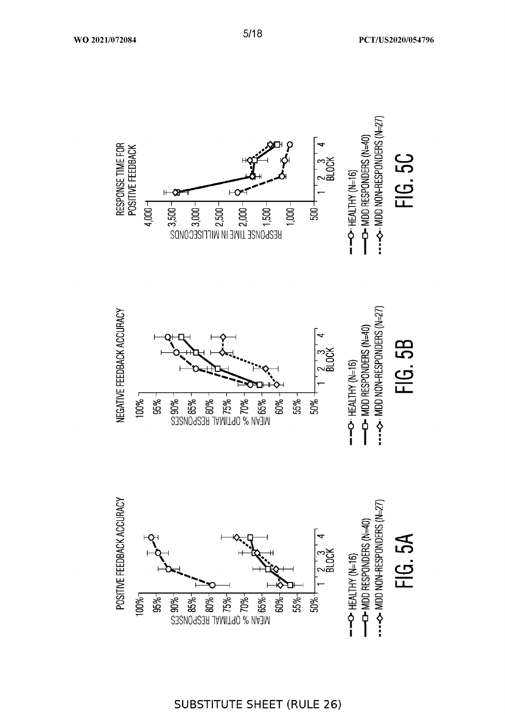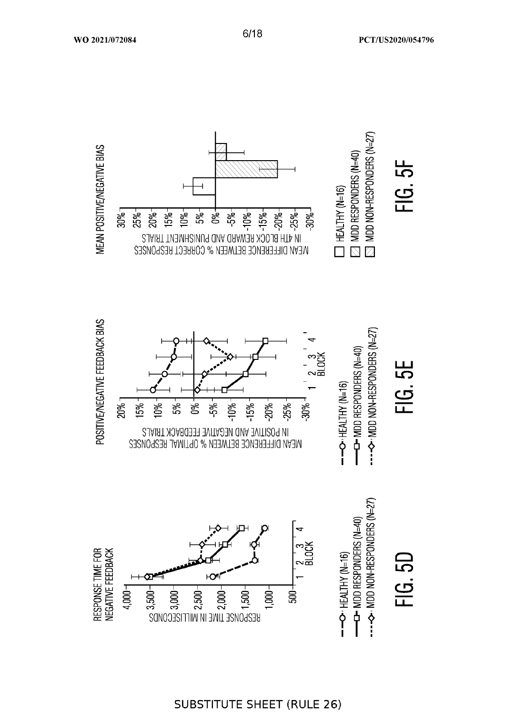



 $6/18$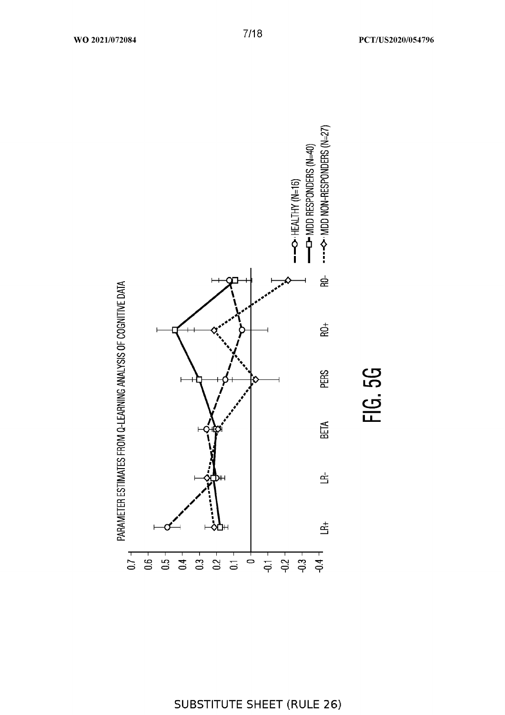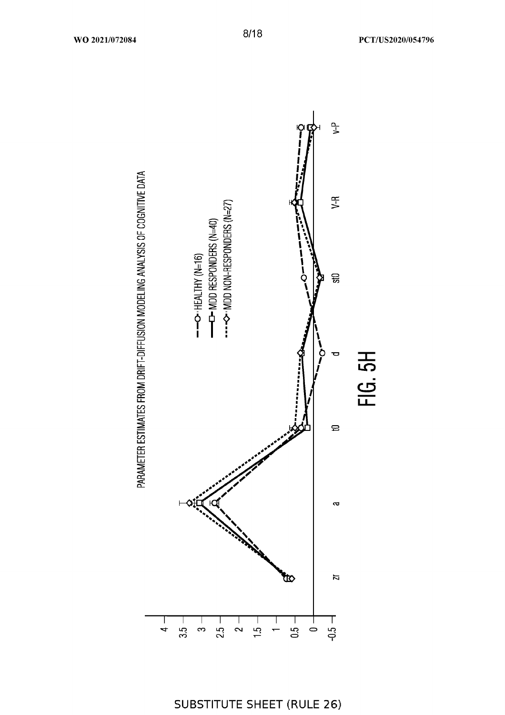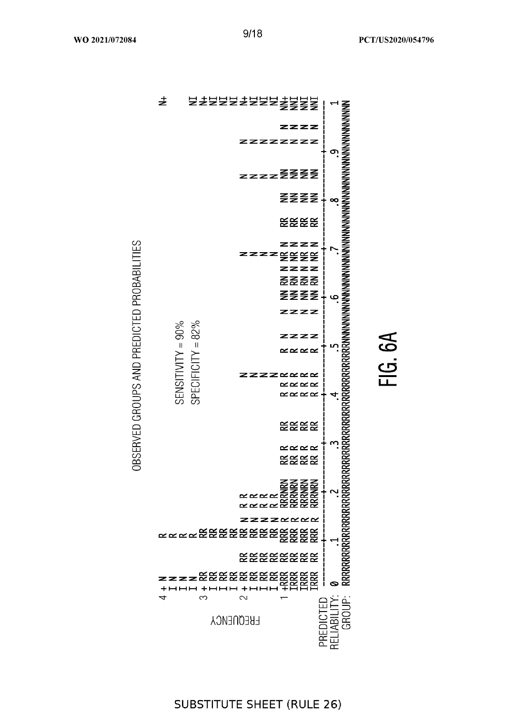去 zzzz zzzzzzzz <u>ო</u> zzzzZZZZ ZZZZ  $\infty$ **EEEE** zzzz <u>zzzzggg</u>g zzzz <u> 동주 또 또</u> **ZZZZ**  $\mathbf{Q}$ zzzz SENSITIVITY = 90% SPECIFICITY =  $82\%$ zzz  $\propto \propto \propto \propto$ **ZZZZ**  $\alpha \alpha \alpha$ **KKKK**  $\alpha \alpha \alpha$ **EEEE**  $\propto$   $\propto$   $\propto$   $\propto$ **EEEE** zzzzxxxx <u>ĸĸĸĸĸĔŔ</u>ĔĔĔĔĔĔĔĔĔĔ **EEEEEEEE**  $\bullet$  $\ddot{}$ PREDICTED<br>RELIABILITY:<br>GROUP: က  $\sim$  $\overline{\phantom{0}}$ **FREQUENCY** 



# **SUBSTITUTE SHEET (RULE 26)**

FIG. 6A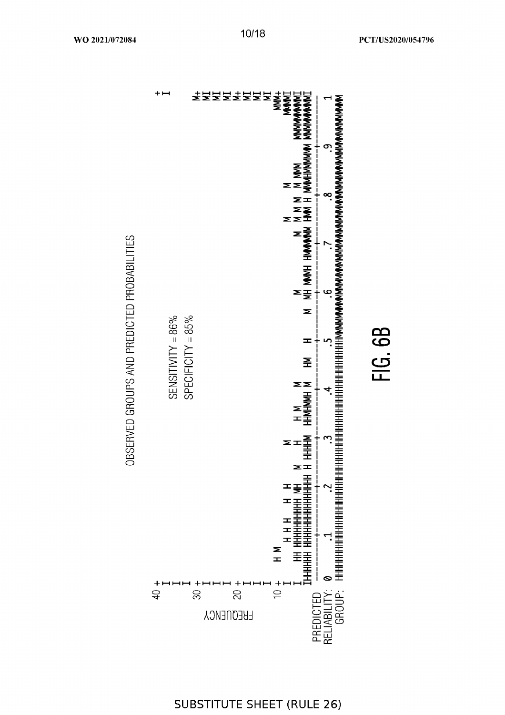

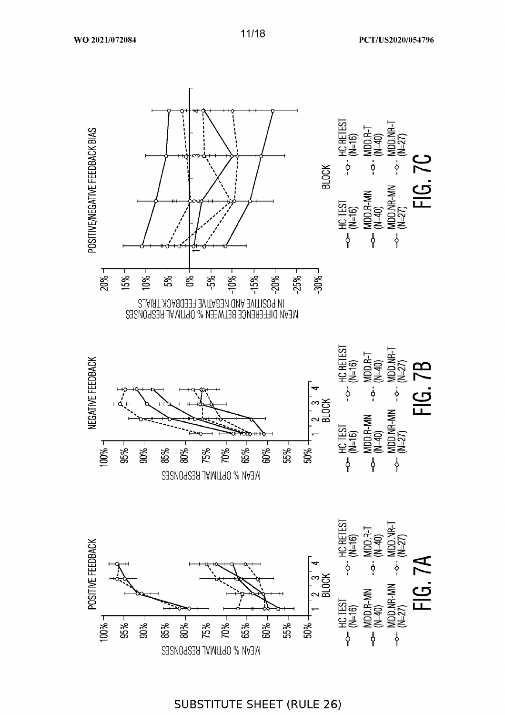

11/18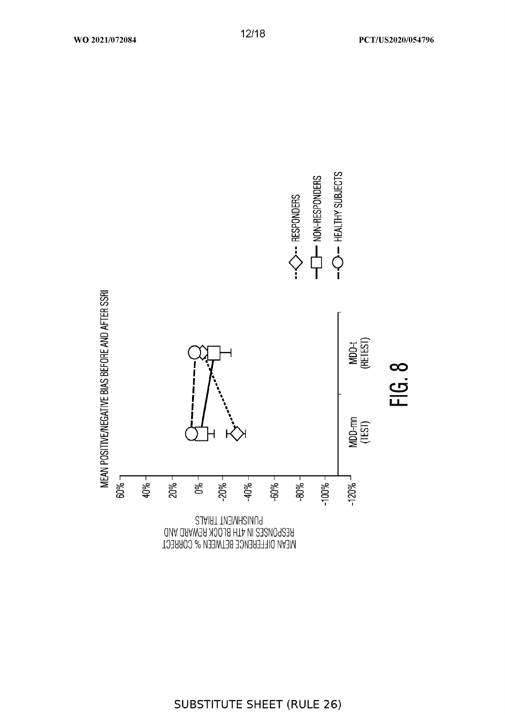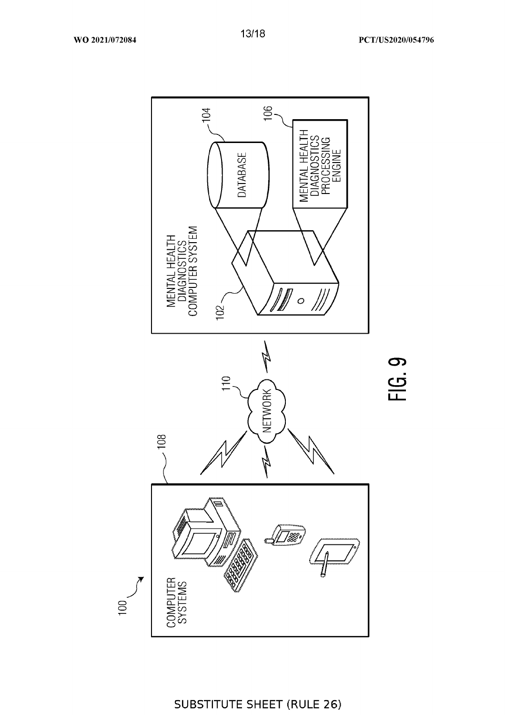106  $104$ DIAGNOSTICS<br>PROCESSING<br>ENGINE HFAI DATABASE MENTAI MENTAL HEALTH<br>DIAGNOSTICS<br>COMPUTER SYSTEM  $\ell$  $\circ$  $102 -$ 'Il b FIG.9  $110$ NETWORK 108 733 COMPUTER<br>SYSTEMS  $100<sub>1</sub>$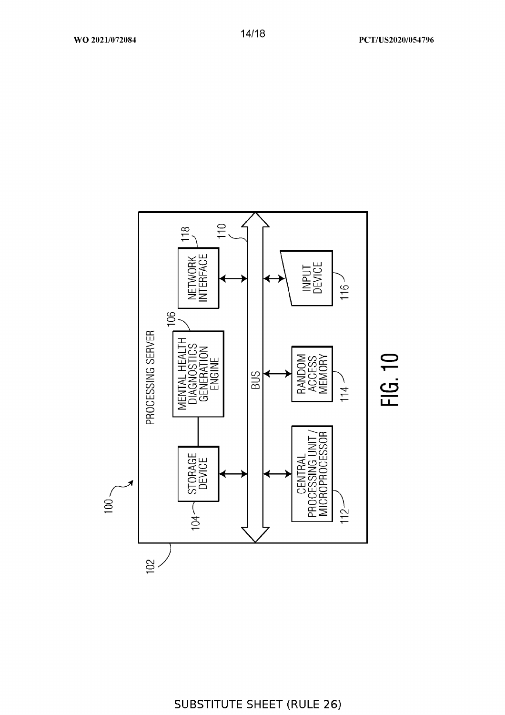

PCT/US2020/054796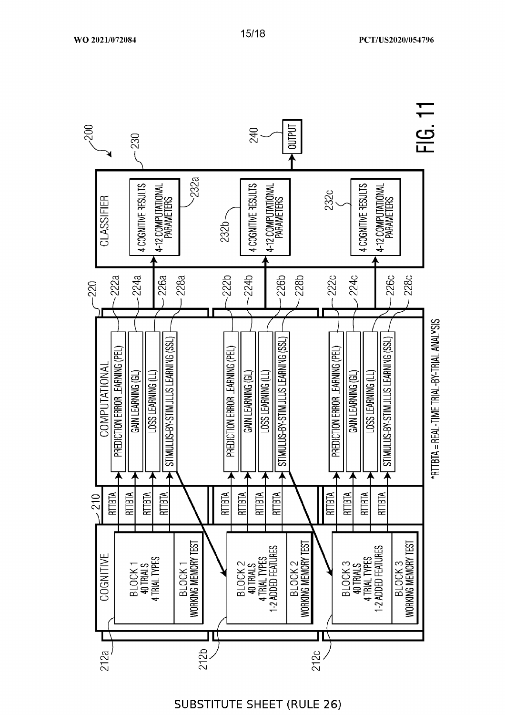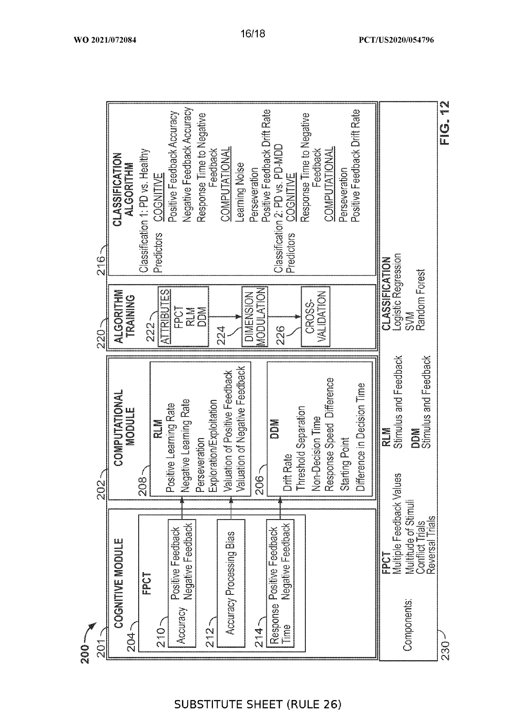![](_page_40_Figure_0.jpeg)

16/18

 $200 -$ 

EIG. 12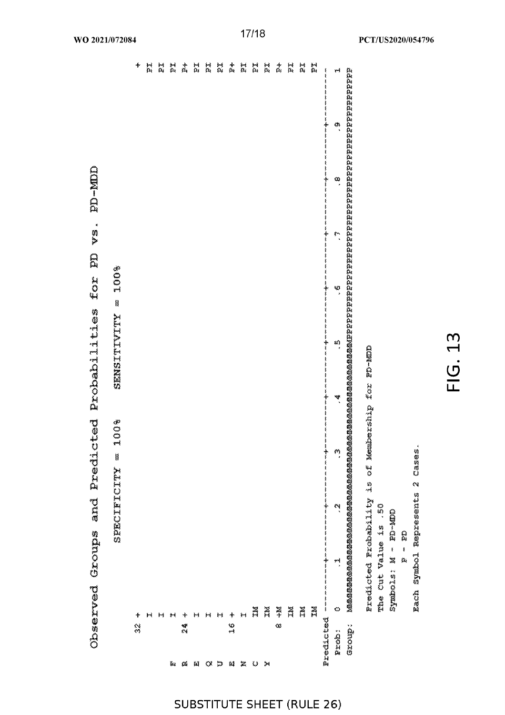| M  |  |
|----|--|
| ⊣  |  |
|    |  |
| O) |  |
|    |  |
| ப  |  |

Each Symbol Represents 2 Cases.

| i   |                                                   |  |     |  |
|-----|---------------------------------------------------|--|-----|--|
| Ã   |                                                   |  |     |  |
| ¥   |                                                   |  |     |  |
| Ã   |                                                   |  |     |  |
| ЛÃ  |                                                   |  |     |  |
| N   |                                                   |  |     |  |
|     |                                                   |  |     |  |
|     |                                                   |  | 60) |  |
| V.S |                                                   |  |     |  |
|     | Bredicted Rrobability is of Membership for BD-MMD |  |     |  |
|     | The Cut Value is . 50                             |  |     |  |
|     | Symbols: M - FO-MID                               |  |     |  |
|     | Q<br>Qi<br>\$<br>a,                               |  |     |  |

|               |              |               |        |          |                                                    |    | Bredicted Rrobability is of Membership for BD-MMD |                      |    |    |                      |
|---------------|--------------|---------------|--------|----------|----------------------------------------------------|----|---------------------------------------------------|----------------------|----|----|----------------------|
|               |              |               |        |          |                                                    |    |                                                   |                      |    |    | Group:               |
| پېږ           | ٩            | œ.            | ب<br>م | S.       | 33)<br>2                                           | À. | e)                                                | العا<br>د            | ېم | ⇔  | Pred:                |
| 事重重<br>ţ<br>ł | 医牙耳子宫束骨<br>ţ | 医霍普鲁鲁峰霍霍曼     |        |          |                                                    | ţ  | Ť<br>Ĭ<br>医复量医星星<br>ţ<br>ţ                        | 医单单牙噻苯苯苯苯苯基苯基苯基喹基苯基苯 |    |    | Predicted ----       |
| e<br>Ri       |              |               |        |          |                                                    |    |                                                   |                      |    | zz |                      |
| a.            |              |               |        |          |                                                    |    |                                                   |                      |    | XX |                      |
| Xá            |              |               |        |          |                                                    |    |                                                   |                      |    | N  |                      |
| á,            |              |               |        |          |                                                    |    |                                                   |                      |    | ¥  | 33                   |
| ZZ            |              |               |        |          |                                                    |    |                                                   |                      |    | X  | $\mathcal{P}$        |
| er<br>Ri      |              |               |        |          |                                                    |    |                                                   |                      |    | m  | Q,                   |
| at<br>4       |              |               |        |          |                                                    |    |                                                   |                      |    | 针  | 鬤                    |
| 责             |              |               |        |          |                                                    |    |                                                   |                      |    |    | $\frac{3}{2}$<br>8\$ |
| r.            |              |               |        |          |                                                    |    |                                                   |                      |    | 树  | $\ddot{\omega}$      |
| 裁             |              |               |        |          |                                                    |    |                                                   |                      |    | 拟  | α                    |
| ri<br>Ri      |              |               |        |          |                                                    |    |                                                   |                      |    | н  | N                    |
| 森             |              |               |        |          |                                                    |    |                                                   |                      |    | ÷  | er<br>Er<br>α        |
| 兴             |              |               |        |          |                                                    |    |                                                   |                      |    | 計  | ú4                   |
| n.            |              |               |        |          |                                                    |    |                                                   |                      |    | M  |                      |
| ă             |              |               |        |          |                                                    |    |                                                   |                      |    |    |                      |
| *             |              |               |        |          |                                                    |    |                                                   |                      |    |    | es.                  |
|               |              |               |        | $= 100%$ | SENSITIVITY                                        |    | 008<br>ېسو<br>Ħ                                   | SPECIFICITY          |    |    |                      |
|               |              | <b>ED-MDD</b> | vs.    |          | Observed Groups and Predicted Probabilities for PD |    |                                                   |                      |    |    |                      |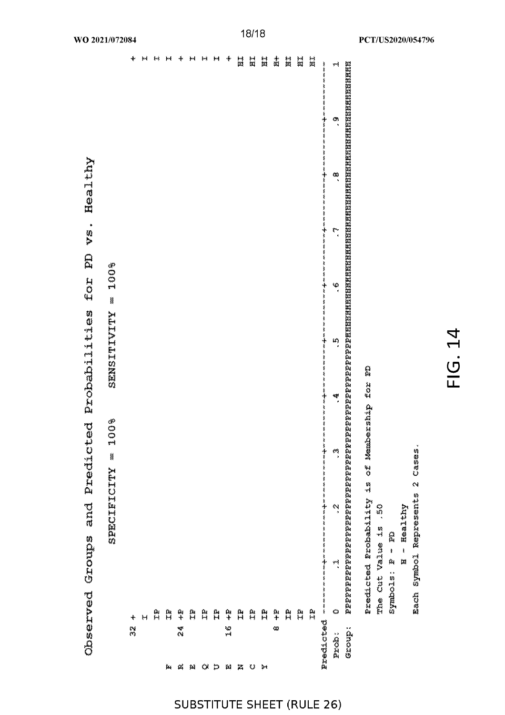|                       |                                                   | ś                        |                                               |                    |                  |               |               |       |           |           |              |
|-----------------------|---------------------------------------------------|--------------------------|-----------------------------------------------|--------------------|------------------|---------------|---------------|-------|-----------|-----------|--------------|
|                       |                                                   |                          | SPECIEICITY = 100%                            |                    |                  | SENSITIVITY = | 100%          |       |           |           |              |
|                       | ✦<br>i.<br>M                                      |                          |                                               |                    |                  |               |               |       |           |           | ÷            |
|                       | Н                                                 |                          |                                               |                    |                  |               |               |       |           |           | Ħ            |
|                       | es<br>23                                          |                          |                                               |                    |                  |               |               |       |           |           | 树            |
| рų                    | ÃŹ                                                |                          |                                               |                    |                  |               |               |       |           |           | 瓣            |
| $\alpha$              | 华<br>经会                                           |                          |                                               |                    |                  |               |               |       |           |           | ∱            |
| Q.                    | È.                                                |                          |                                               |                    |                  |               |               |       |           |           | 钏            |
| $\infty$              | $\tilde{\mathcal{I}}^{\mathcal{B}}_{\mathcal{A}}$ |                          |                                               |                    |                  |               |               |       |           |           | þý           |
| ξ,                    | 网络                                                |                          |                                               |                    |                  |               |               |       |           |           | ŧ₫           |
| $\alpha$              | $\frac{1}{2}$<br>ž Č                              |                          |                                               |                    |                  |               |               |       |           |           | 帚            |
| 鸄                     | R.                                                |                          |                                               |                    |                  |               |               |       |           |           | Ħ            |
| $\omega$              | e<br>H                                            |                          |                                               |                    |                  |               |               |       |           |           | n            |
| $\blacktriangleright$ | 羅                                                 |                          |                                               |                    |                  |               |               |       |           |           | Ħ            |
|                       | $\frac{\alpha}{t}$<br>œ                           |                          |                                               |                    |                  |               |               |       |           |           | ň            |
|                       | a<br>H                                            |                          |                                               |                    |                  |               |               |       |           |           | ă            |
|                       | e<br>H                                            |                          |                                               |                    |                  |               |               |       |           |           | ĦI           |
|                       | ξż                                                |                          |                                               |                    |                  |               |               |       |           |           | Ħ            |
|                       | Predicted --                                      | 医单纯生命                    | ききずまま                                         | ì<br>医麦芽素素         | n na shekarar na | まきすまま         | --------      | ミーナート | 医单纯性<br>ŧ | ミネット<br>ŧ | پيو چې<br>په |
| s qoxa                | $\ddot{\circ}$                                    | ۳                        | Ņ                                             | Ť<br>$\frac{1}{2}$ |                  | m,            | $\frac{8}{1}$ | بمغ   | e.        | ø,        | ᆏ            |
| Group:                |                                                   |                          |                                               |                    |                  |               |               |       |           |           |              |
|                       |                                                   |                          | Predicted Probability is of Membership for PD |                    |                  |               |               |       |           |           |              |
|                       |                                                   | The Cut Value is         | .30                                           |                    |                  |               |               |       |           |           |              |
|                       |                                                   | symbols: P - FD          |                                               |                    |                  |               |               |       |           |           |              |
|                       |                                                   | N - Healthy              |                                               |                    |                  |               |               |       |           |           |              |
|                       |                                                   | Z siuezerdek fodmys uosa | Cases.                                        |                    |                  |               |               |       |           |           |              |
|                       |                                                   |                          |                                               |                    |                  |               |               |       |           |           |              |

vs. Healthy  $\mathbb{E}$ for Observed Groups and Predicted Probabilities